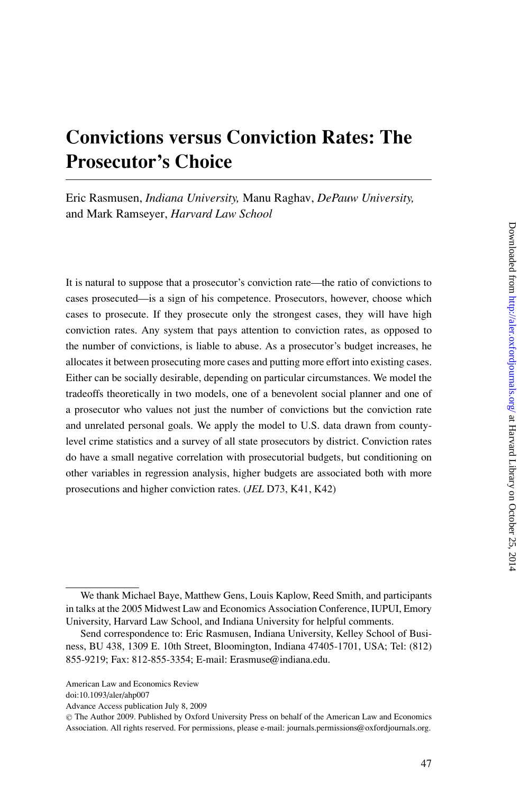# **Convictions versus Conviction Rates: The Prosecutor's Choice**

Eric Rasmusen, *Indiana University,* Manu Raghav, *DePauw University,* and Mark Ramseyer, *Harvard Law School*

It is natural to suppose that a prosecutor's conviction rate—the ratio of convictions to cases prosecuted—is a sign of his competence. Prosecutors, however, choose which cases to prosecute. If they prosecute only the strongest cases, they will have high conviction rates. Any system that pays attention to conviction rates, as opposed to the number of convictions, is liable to abuse. As a prosecutor's budget increases, he allocates it between prosecuting more cases and putting more effort into existing cases. Either can be socially desirable, depending on particular circumstances. We model the tradeoffs theoretically in two models, one of a benevolent social planner and one of a prosecutor who values not just the number of convictions but the conviction rate and unrelated personal goals. We apply the model to U.S. data drawn from countylevel crime statistics and a survey of all state prosecutors by district. Conviction rates do have a small negative correlation with prosecutorial budgets, but conditioning on other variables in regression analysis, higher budgets are associated both with more prosecutions and higher conviction rates. (*JEL* D73, K41, K42)

We thank Michael Baye, Matthew Gens, Louis Kaplow, Reed Smith, and participants in talks at the 2005 Midwest Law and Economics Association Conference, IUPUI, Emory University, Harvard Law School, and Indiana University for helpful comments.

Send correspondence to: Eric Rasmusen, Indiana University, Kelley School of Business, BU 438, 1309 E. 10th Street, Bloomington, Indiana 47405-1701, USA; Tel: (812) 855-9219; Fax: 812-855-3354; E-mail: Erasmuse@indiana.edu.

American Law and Economics Review

doi:10.1093/aler/ahp007

Advance Access publication July 8, 2009

<sup>-</sup><sup>C</sup> The Author 2009. Published by Oxford University Press on behalf of the American Law and Economics Association. All rights reserved. For permissions, please e-mail: journals.permissions@oxfordjournals.org.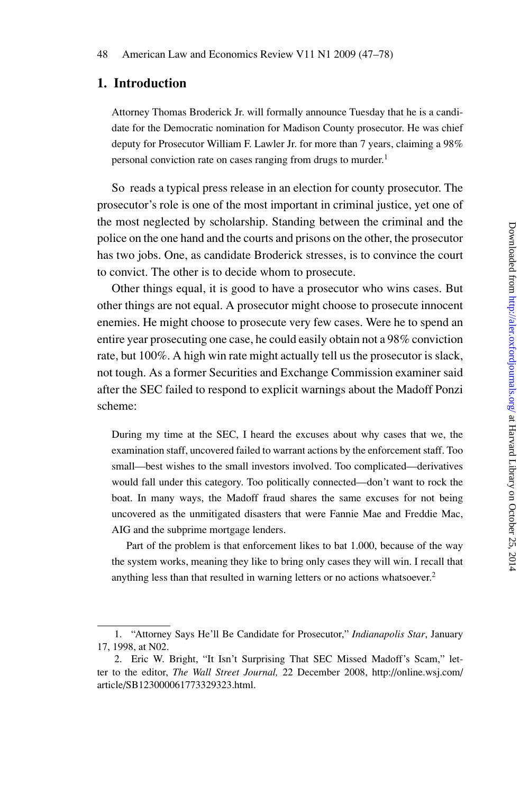# **1. Introduction**

Attorney Thomas Broderick Jr. will formally announce Tuesday that he is a candidate for the Democratic nomination for Madison County prosecutor. He was chief deputy for Prosecutor William F. Lawler Jr. for more than 7 years, claiming a 98% personal conviction rate on cases ranging from drugs to murder.<sup>1</sup>

So reads a typical press release in an election for county prosecutor. The prosecutor's role is one of the most important in criminal justice, yet one of the most neglected by scholarship. Standing between the criminal and the police on the one hand and the courts and prisons on the other, the prosecutor has two jobs. One, as candidate Broderick stresses, is to convince the court to convict. The other is to decide whom to prosecute.

Other things equal, it is good to have a prosecutor who wins cases. But other things are not equal. A prosecutor might choose to prosecute innocent enemies. He might choose to prosecute very few cases. Were he to spend an entire year prosecuting one case, he could easily obtain not a 98% conviction rate, but 100%. A high win rate might actually tell us the prosecutor is slack, not tough. As a former Securities and Exchange Commission examiner said after the SEC failed to respond to explicit warnings about the Madoff Ponzi scheme:

During my time at the SEC, I heard the excuses about why cases that we, the examination staff, uncovered failed to warrant actions by the enforcement staff. Too small—best wishes to the small investors involved. Too complicated—derivatives would fall under this category. Too politically connected—don't want to rock the boat. In many ways, the Madoff fraud shares the same excuses for not being uncovered as the unmitigated disasters that were Fannie Mae and Freddie Mac, AIG and the subprime mortgage lenders.

Part of the problem is that enforcement likes to bat 1.000, because of the way the system works, meaning they like to bring only cases they will win. I recall that anything less than that resulted in warning letters or no actions whatsoever.<sup>2</sup>

<sup>1. &</sup>quot;Attorney Says He'll Be Candidate for Prosecutor," *Indianapolis Star*, January 17, 1998, at N02.

<sup>2.</sup> Eric W. Bright, "It Isn't Surprising That SEC Missed Madoff's Scam," letter to the editor, *The Wall Street Journal,* 22 December 2008, http://online.wsj.com/ article/SB123000061773329323.html.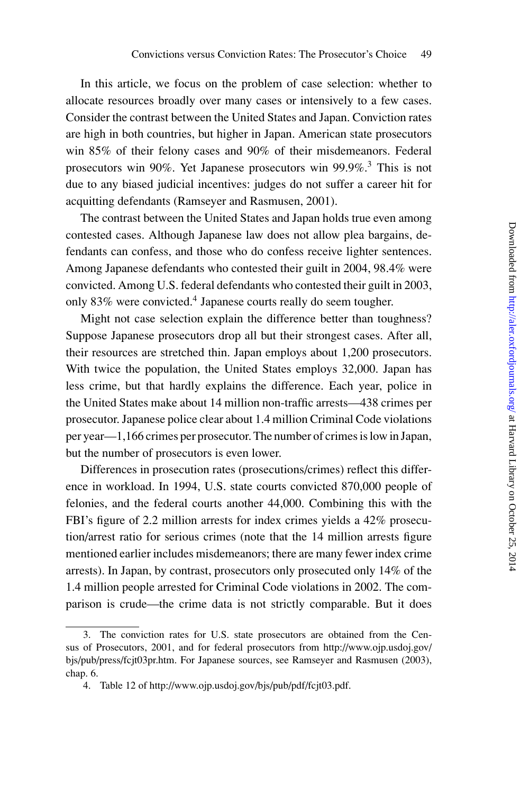In this article, we focus on the problem of case selection: whether to allocate resources broadly over many cases or intensively to a few cases. Consider the contrast between the United States and Japan. Conviction rates are high in both countries, but higher in Japan. American state prosecutors win 85% of their felony cases and 90% of their misdemeanors. Federal prosecutors win 90%. Yet Japanese prosecutors win 99.9%.3 This is not due to any biased judicial incentives: judges do not suffer a career hit for acquitting defendants (Ramseyer and Rasmusen, 2001).

The contrast between the United States and Japan holds true even among contested cases. Although Japanese law does not allow plea bargains, defendants can confess, and those who do confess receive lighter sentences. Among Japanese defendants who contested their guilt in 2004, 98.4% were convicted. Among U.S. federal defendants who contested their guilt in 2003, only 83% were convicted.4 Japanese courts really do seem tougher.

Might not case selection explain the difference better than toughness? Suppose Japanese prosecutors drop all but their strongest cases. After all, their resources are stretched thin. Japan employs about 1,200 prosecutors. With twice the population, the United States employs 32,000. Japan has less crime, but that hardly explains the difference. Each year, police in the United States make about 14 million non-traffic arrests—438 crimes per prosecutor. Japanese police clear about 1.4 million Criminal Code violations per year—1,166 crimes per prosecutor. The number of crimes is low in Japan, but the number of prosecutors is even lower.

Differences in prosecution rates (prosecutions/crimes) reflect this difference in workload. In 1994, U.S. state courts convicted 870,000 people of felonies, and the federal courts another 44,000. Combining this with the FBI's figure of 2.2 million arrests for index crimes yields a 42% prosecution/arrest ratio for serious crimes (note that the 14 million arrests figure mentioned earlier includes misdemeanors; there are many fewer index crime arrests). In Japan, by contrast, prosecutors only prosecuted only 14% of the 1.4 million people arrested for Criminal Code violations in 2002. The comparison is crude—the crime data is not strictly comparable. But it does

<sup>3.</sup> The conviction rates for U.S. state prosecutors are obtained from the Census of Prosecutors, 2001, and for federal prosecutors from http://www.ojp.usdoj.gov/ bjs/pub/press/fcjt03pr.htm. For Japanese sources, see Ramseyer and Rasmusen (2003), chap. 6.

<sup>4.</sup> Table 12 of http://www.ojp.usdoj.gov/bjs/pub/pdf/fcjt03.pdf.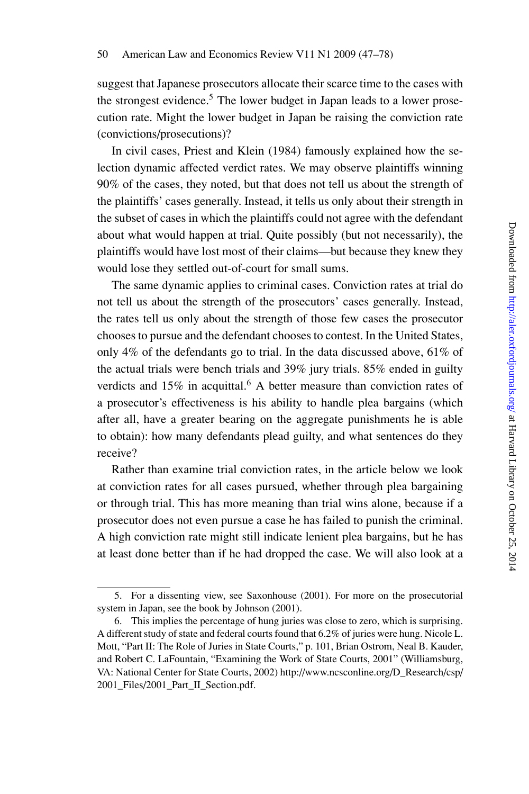suggest that Japanese prosecutors allocate their scarce time to the cases with the strongest evidence.<sup>5</sup> The lower budget in Japan leads to a lower prosecution rate. Might the lower budget in Japan be raising the conviction rate (convictions/prosecutions)?

In civil cases, Priest and Klein (1984) famously explained how the selection dynamic affected verdict rates. We may observe plaintiffs winning 90% of the cases, they noted, but that does not tell us about the strength of the plaintiffs' cases generally. Instead, it tells us only about their strength in the subset of cases in which the plaintiffs could not agree with the defendant about what would happen at trial. Quite possibly (but not necessarily), the plaintiffs would have lost most of their claims—but because they knew they would lose they settled out-of-court for small sums.

The same dynamic applies to criminal cases. Conviction rates at trial do not tell us about the strength of the prosecutors' cases generally. Instead, the rates tell us only about the strength of those few cases the prosecutor chooses to pursue and the defendant chooses to contest. In the United States, only 4% of the defendants go to trial. In the data discussed above, 61% of the actual trials were bench trials and 39% jury trials. 85% ended in guilty verdicts and  $15\%$  in acquittal.<sup>6</sup> A better measure than conviction rates of a prosecutor's effectiveness is his ability to handle plea bargains (which after all, have a greater bearing on the aggregate punishments he is able to obtain): how many defendants plead guilty, and what sentences do they receive?

Rather than examine trial conviction rates, in the article below we look at conviction rates for all cases pursued, whether through plea bargaining or through trial. This has more meaning than trial wins alone, because if a prosecutor does not even pursue a case he has failed to punish the criminal. A high conviction rate might still indicate lenient plea bargains, but he has at least done better than if he had dropped the case. We will also look at a

<sup>5.</sup> For a dissenting view, see Saxonhouse (2001). For more on the prosecutorial system in Japan, see the book by Johnson (2001).

<sup>6.</sup> This implies the percentage of hung juries was close to zero, which is surprising. A different study of state and federal courts found that 6.2% of juries were hung. Nicole L. Mott, "Part II: The Role of Juries in State Courts," p. 101, Brian Ostrom, Neal B. Kauder, and Robert C. LaFountain, "Examining the Work of State Courts, 2001" (Williamsburg, VA: National Center for State Courts, 2002) http://www.ncsconline.org/D\_Research/csp/ 2001\_Files/2001\_Part\_II\_Section.pdf.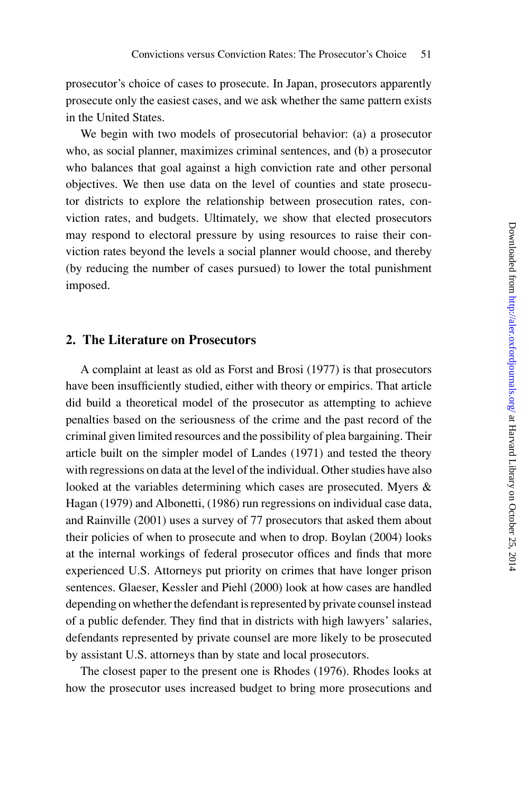prosecutor's choice of cases to prosecute. In Japan, prosecutors apparently prosecute only the easiest cases, and we ask whether the same pattern exists in the United States.

We begin with two models of prosecutorial behavior: (a) a prosecutor who, as social planner, maximizes criminal sentences, and (b) a prosecutor who balances that goal against a high conviction rate and other personal objectives. We then use data on the level of counties and state prosecutor districts to explore the relationship between prosecution rates, conviction rates, and budgets. Ultimately, we show that elected prosecutors may respond to electoral pressure by using resources to raise their conviction rates beyond the levels a social planner would choose, and thereby (by reducing the number of cases pursued) to lower the total punishment imposed.

### **2. The Literature on Prosecutors**

A complaint at least as old as Forst and Brosi (1977) is that prosecutors have been insufficiently studied, either with theory or empirics. That article did build a theoretical model of the prosecutor as attempting to achieve penalties based on the seriousness of the crime and the past record of the criminal given limited resources and the possibility of plea bargaining. Their article built on the simpler model of Landes (1971) and tested the theory with regressions on data at the level of the individual. Other studies have also looked at the variables determining which cases are prosecuted. Myers & Hagan (1979) and Albonetti, (1986) run regressions on individual case data, and Rainville (2001) uses a survey of 77 prosecutors that asked them about their policies of when to prosecute and when to drop. Boylan (2004) looks at the internal workings of federal prosecutor offices and finds that more experienced U.S. Attorneys put priority on crimes that have longer prison sentences. Glaeser, Kessler and Piehl (2000) look at how cases are handled depending on whether the defendant is represented by private counsel instead of a public defender. They find that in districts with high lawyers' salaries, defendants represented by private counsel are more likely to be prosecuted by assistant U.S. attorneys than by state and local prosecutors.

The closest paper to the present one is Rhodes (1976). Rhodes looks at how the prosecutor uses increased budget to bring more prosecutions and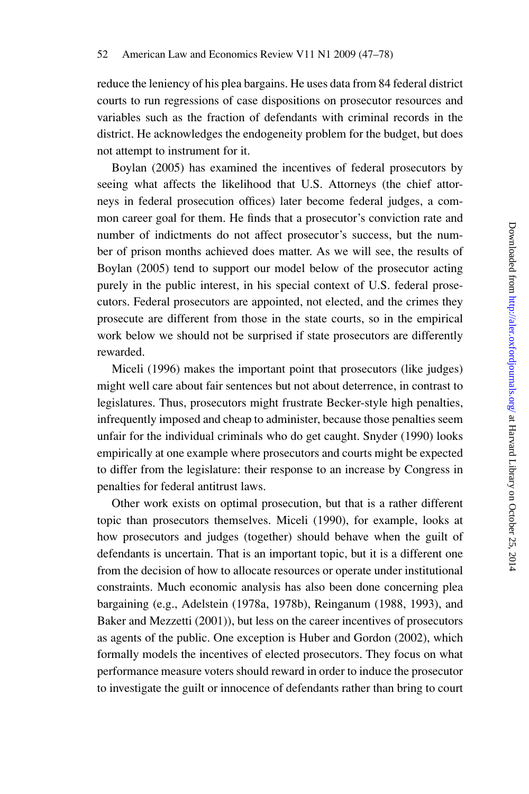reduce the leniency of his plea bargains. He uses data from 84 federal district courts to run regressions of case dispositions on prosecutor resources and variables such as the fraction of defendants with criminal records in the district. He acknowledges the endogeneity problem for the budget, but does not attempt to instrument for it.

Boylan (2005) has examined the incentives of federal prosecutors by seeing what affects the likelihood that U.S. Attorneys (the chief attorneys in federal prosecution offices) later become federal judges, a common career goal for them. He finds that a prosecutor's conviction rate and number of indictments do not affect prosecutor's success, but the number of prison months achieved does matter. As we will see, the results of Boylan (2005) tend to support our model below of the prosecutor acting purely in the public interest, in his special context of U.S. federal prosecutors. Federal prosecutors are appointed, not elected, and the crimes they prosecute are different from those in the state courts, so in the empirical work below we should not be surprised if state prosecutors are differently rewarded.

Miceli (1996) makes the important point that prosecutors (like judges) might well care about fair sentences but not about deterrence, in contrast to legislatures. Thus, prosecutors might frustrate Becker-style high penalties, infrequently imposed and cheap to administer, because those penalties seem unfair for the individual criminals who do get caught. Snyder (1990) looks empirically at one example where prosecutors and courts might be expected to differ from the legislature: their response to an increase by Congress in penalties for federal antitrust laws.

Other work exists on optimal prosecution, but that is a rather different topic than prosecutors themselves. Miceli (1990), for example, looks at how prosecutors and judges (together) should behave when the guilt of defendants is uncertain. That is an important topic, but it is a different one from the decision of how to allocate resources or operate under institutional constraints. Much economic analysis has also been done concerning plea bargaining (e.g., Adelstein (1978a, 1978b), Reinganum (1988, 1993), and Baker and Mezzetti (2001)), but less on the career incentives of prosecutors as agents of the public. One exception is Huber and Gordon (2002), which formally models the incentives of elected prosecutors. They focus on what performance measure voters should reward in order to induce the prosecutor to investigate the guilt or innocence of defendants rather than bring to court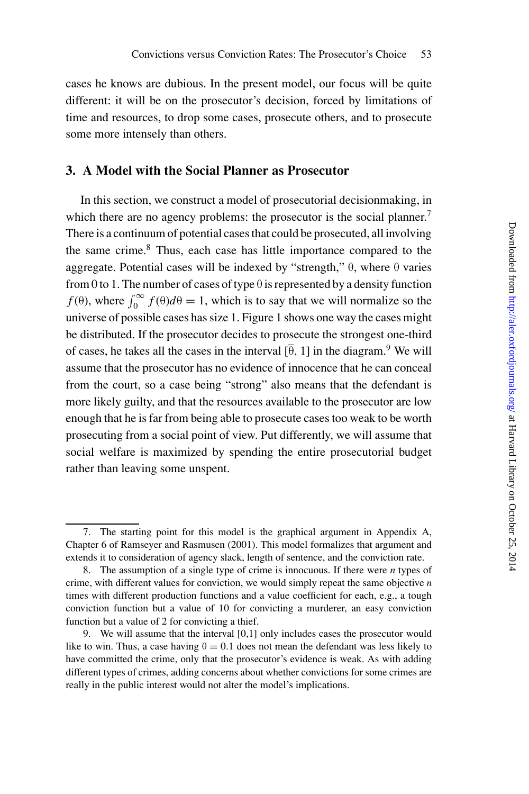cases he knows are dubious. In the present model, our focus will be quite different: it will be on the prosecutor's decision, forced by limitations of time and resources, to drop some cases, prosecute others, and to prosecute some more intensely than others.

## **3. A Model with the Social Planner as Prosecutor**

In this section, we construct a model of prosecutorial decisionmaking, in which there are no agency problems: the prosecutor is the social planner.<sup>7</sup> There is a continuum of potential cases that could be prosecuted, all involving the same crime.<sup>8</sup> Thus, each case has little importance compared to the aggregate. Potential cases will be indexed by "strength," θ, where θ varies from 0 to 1. The number of cases of type  $\theta$  is represented by a density function  $f(\theta)$ , where  $\int_0^\infty f(\theta) d\theta = 1$ , which is to say that we will normalize so the universe of possible cases has size 1. Figure 1 shows one way the cases might be distributed. If the prosecutor decides to prosecute the strongest one-third of cases, he takes all the cases in the interval  $\overline{\theta}$ , 1 in the diagram.<sup>9</sup> We will assume that the prosecutor has no evidence of innocence that he can conceal from the court, so a case being "strong" also means that the defendant is more likely guilty, and that the resources available to the prosecutor are low enough that he is far from being able to prosecute cases too weak to be worth prosecuting from a social point of view. Put differently, we will assume that social welfare is maximized by spending the entire prosecutorial budget rather than leaving some unspent.

<sup>7.</sup> The starting point for this model is the graphical argument in Appendix A, Chapter 6 of Ramseyer and Rasmusen (2001). This model formalizes that argument and extends it to consideration of agency slack, length of sentence, and the conviction rate.

<sup>8.</sup> The assumption of a single type of crime is innocuous. If there were *n* types of crime, with different values for conviction, we would simply repeat the same objective *n* times with different production functions and a value coefficient for each, e.g., a tough conviction function but a value of 10 for convicting a murderer, an easy conviction function but a value of 2 for convicting a thief.

<sup>9.</sup> We will assume that the interval [0,1] only includes cases the prosecutor would like to win. Thus, a case having  $\theta = 0.1$  does not mean the defendant was less likely to have committed the crime, only that the prosecutor's evidence is weak. As with adding different types of crimes, adding concerns about whether convictions for some crimes are really in the public interest would not alter the model's implications.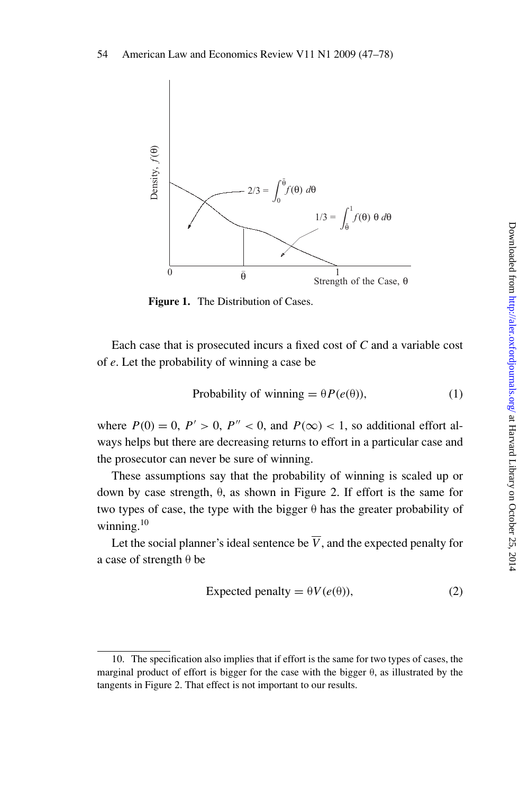

**Figure 1.** The Distribution of Cases.

Each case that is prosecuted incurs a fixed cost of *C* and a variable cost of *e*. Let the probability of winning a case be

Probability of winning = 
$$
\theta P(e(\theta))
$$
, (1)

where  $P(0) = 0$ ,  $P' > 0$ ,  $P'' < 0$ , and  $P(\infty) < 1$ , so additional effort always helps but there are decreasing returns to effort in a particular case and the prosecutor can never be sure of winning.

These assumptions say that the probability of winning is scaled up or down by case strength, θ, as shown in Figure 2. If effort is the same for two types of case, the type with the bigger  $\theta$  has the greater probability of winning. $10$ 

Let the social planner's ideal sentence be  $\overline{V}$ , and the expected penalty for a case of strength  $\theta$  be

Expected penalty = 
$$
\theta V(e(\theta))
$$
, (2)

<sup>10.</sup> The specification also implies that if effort is the same for two types of cases, the marginal product of effort is bigger for the case with the bigger  $\theta$ , as illustrated by the tangents in Figure 2. That effect is not important to our results.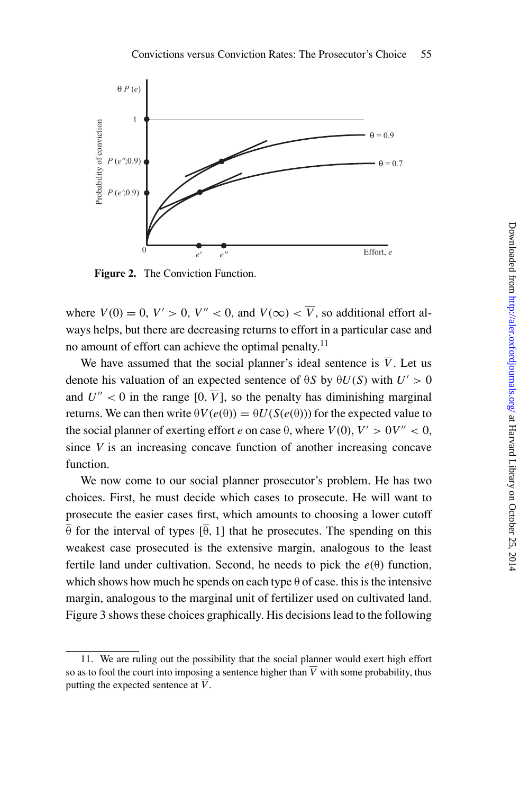

Figure 2. The Conviction Function.

where  $V(0) = 0$ ,  $V' > 0$ ,  $V'' < 0$ , and  $V(\infty) < \overline{V}$ , so additional effort always helps, but there are decreasing returns to effort in a particular case and no amount of effort can achieve the optimal penalty. $11$ 

We have assumed that the social planner's ideal sentence is  $\overline{V}$ . Let us denote his valuation of an expected sentence of  $\theta S$  by  $\theta U(S)$  with  $U' > 0$ and  $U'' < 0$  in the range  $[0, \overline{V}]$ , so the penalty has diminishing marginal returns. We can then write  $\theta V(e(\theta)) = \theta U(S(e(\theta)))$  for the expected value to the social planner of exerting effort *e* on case  $\theta$ , where  $V(0)$ ,  $V' > 0V'' < 0$ , since *V* is an increasing concave function of another increasing concave function.

We now come to our social planner prosecutor's problem. He has two choices. First, he must decide which cases to prosecute. He will want to prosecute the easier cases first, which amounts to choosing a lower cutoff  $\overline{\theta}$  for the interval of types  $[\overline{\theta}, 1]$  that he prosecutes. The spending on this weakest case prosecuted is the extensive margin, analogous to the least fertile land under cultivation. Second, he needs to pick the  $e(\theta)$  function, which shows how much he spends on each type  $\theta$  of case. this is the intensive margin, analogous to the marginal unit of fertilizer used on cultivated land. Figure 3 shows these choices graphically. His decisions lead to the following

<sup>11.</sup> We are ruling out the possibility that the social planner would exert high effort so as to fool the court into imposing a sentence higher than  $\overline{V}$  with some probability, thus putting the expected sentence at  $\overline{V}$ .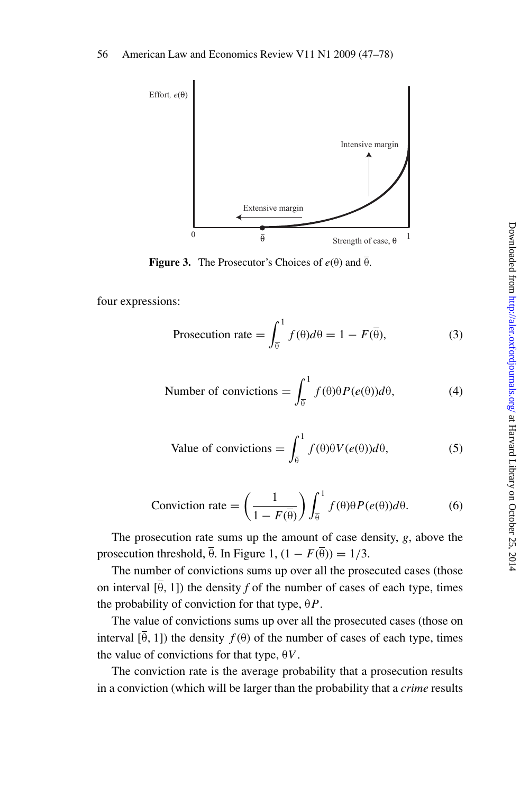

**Figure 3.** The Prosecutor's Choices of  $e(\theta)$  and  $\overline{\theta}$ .

four expressions:

$$
\text{Prosection rate} = \int_{\overline{\theta}}^{1} f(\theta) d\theta = 1 - F(\overline{\theta}),\tag{3}
$$

Number of convictions 
$$
= \int_{\overline{\theta}}^{1} f(\theta) \theta P(e(\theta)) d\theta,
$$
 (4)

Value of convictions 
$$
= \int_{\overline{\theta}}^{1} f(\theta) \theta V(e(\theta)) d\theta,
$$
 (5)

$$
\text{Conviction rate} = \left(\frac{1}{1 - F(\bar{\theta})}\right) \int_{\bar{\theta}}^{1} f(\theta) \theta P(e(\theta)) d\theta. \tag{6}
$$

The prosecution rate sums up the amount of case density, *g*, above the prosecution threshold,  $\overline{\theta}$ . In Figure 1,  $(1 - F(\overline{\theta})) = 1/3$ .

The number of convictions sums up over all the prosecuted cases (those on interval  $\left[\overline{\theta}, 1\right]$  the density *f* of the number of cases of each type, times the probability of conviction for that type, θ*P*.

The value of convictions sums up over all the prosecuted cases (those on interval  $[\bar{\theta}, 1]$ ) the density  $f(\theta)$  of the number of cases of each type, times the value of convictions for that type, θ*V*.

The conviction rate is the average probability that a prosecution results in a conviction (which will be larger than the probability that a *crime* results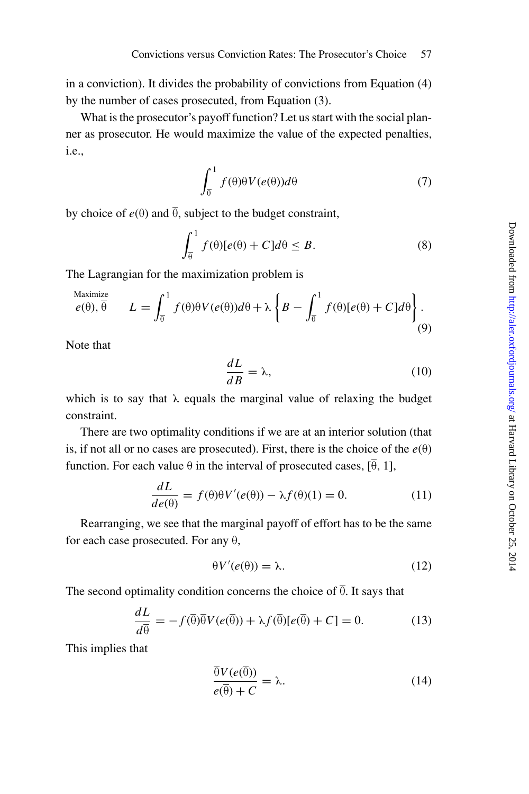in a conviction). It divides the probability of convictions from Equation (4) by the number of cases prosecuted, from Equation (3).

What is the prosecutor's payoff function? Let us start with the social planner as prosecutor. He would maximize the value of the expected penalties, i.e.,

$$
\int_{\overline{\theta}}^1 f(\theta) \theta V(e(\theta)) d\theta \tag{7}
$$

by choice of  $e(\theta)$  and  $\overline{\theta}$ , subject to the budget constraint,

$$
\int_{\overline{\theta}}^{1} f(\theta)[e(\theta) + C]d\theta \le B.
$$
 (8)

The Lagrangian for the maximization problem is

$$
\begin{aligned}\n\text{Maximize} & \quad \mathcal{E} = \int_{\overline{\theta}}^{1} f(\theta) \theta V(e(\theta)) d\theta + \lambda \left\{ B - \int_{\overline{\theta}}^{1} f(\theta) [e(\theta) + C] d\theta \right\}. \\
& \quad (9)\n\end{aligned}
$$

Note that

$$
\frac{dL}{dB} = \lambda,\tag{10}
$$

which is to say that  $\lambda$  equals the marginal value of relaxing the budget constraint.

There are two optimality conditions if we are at an interior solution (that is, if not all or no cases are prosecuted). First, there is the choice of the  $e(\theta)$ function. For each value  $\theta$  in the interval of prosecuted cases,  $[\overline{\theta}, 1]$ ,

$$
\frac{dL}{de(\theta)} = f(\theta)\theta V'(e(\theta)) - \lambda f(\theta)(1) = 0.
$$
 (11)

Rearranging, we see that the marginal payoff of effort has to be the same for each case prosecuted. For any  $\theta$ ,

$$
\theta V'(e(\theta)) = \lambda. \tag{12}
$$

The second optimality condition concerns the choice of  $\overline{\theta}$ . It says that

$$
\frac{dL}{d\bar{\theta}} = -f(\bar{\theta})\bar{\theta}V(e(\bar{\theta})) + \lambda f(\bar{\theta})[e(\bar{\theta}) + C] = 0.
$$
 (13)

This implies that

$$
\frac{\overline{\theta}V(e(\overline{\theta}))}{e(\overline{\theta})+C} = \lambda.
$$
 (14)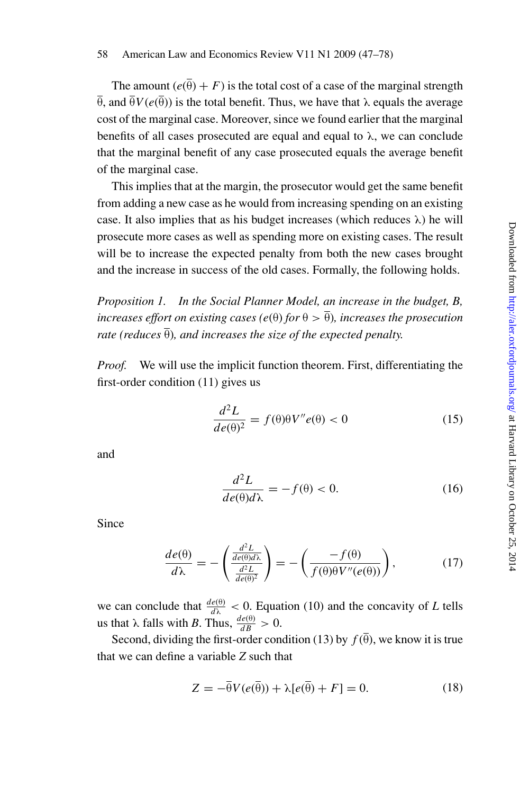The amount  $(e(\overline{\theta}) + F)$  is the total cost of a case of the marginal strength  $\overline{\theta}$ , and  $\overline{\theta}V(e(\overline{\theta}))$  is the total benefit. Thus, we have that  $\lambda$  equals the average cost of the marginal case. Moreover, since we found earlier that the marginal benefits of all cases prosecuted are equal and equal to  $\lambda$ , we can conclude that the marginal benefit of any case prosecuted equals the average benefit of the marginal case.

This implies that at the margin, the prosecutor would get the same benefit from adding a new case as he would from increasing spending on an existing case. It also implies that as his budget increases (which reduces  $\lambda$ ) he will prosecute more cases as well as spending more on existing cases. The result will be to increase the expected penalty from both the new cases brought and the increase in success of the old cases. Formally, the following holds.

*Proposition 1. In the Social Planner Model, an increase in the budget, B, increases effort on existing cases (e*(θ) *for* θ > θ)*, increases the prosecution rate (reduces*  $\overline{\theta}$ ), and increases the size of the expected penalty.

*Proof.* We will use the implicit function theorem. First, differentiating the first-order condition (11) gives us

$$
\frac{d^2L}{de(\theta)^2} = f(\theta)\theta V''e(\theta) < 0\tag{15}
$$

and

$$
\frac{d^2L}{de(\theta)d\lambda} = -f(\theta) < 0. \tag{16}
$$

Since

$$
\frac{de(\theta)}{d\lambda} = -\left(\frac{\frac{d^2L}{de(\theta)d\lambda}}{\frac{d^2L}{de(\theta)^2}}\right) = -\left(\frac{-f(\theta)}{f(\theta)\theta V''(e(\theta))}\right),\tag{17}
$$

we can conclude that  $\frac{de(\theta)}{d\lambda}$  < 0. Equation (10) and the concavity of *L* tells us that  $\lambda$  falls with *B*. Thus,  $\frac{de(\theta)}{dB} > 0$ .

Second, dividing the first-order condition (13) by  $f(\overline{\theta})$ , we know it is true that we can define a variable *Z* such that

$$
Z = -\overline{\theta}V(e(\overline{\theta})) + \lambda[e(\overline{\theta}) + F] = 0.
$$
 (18)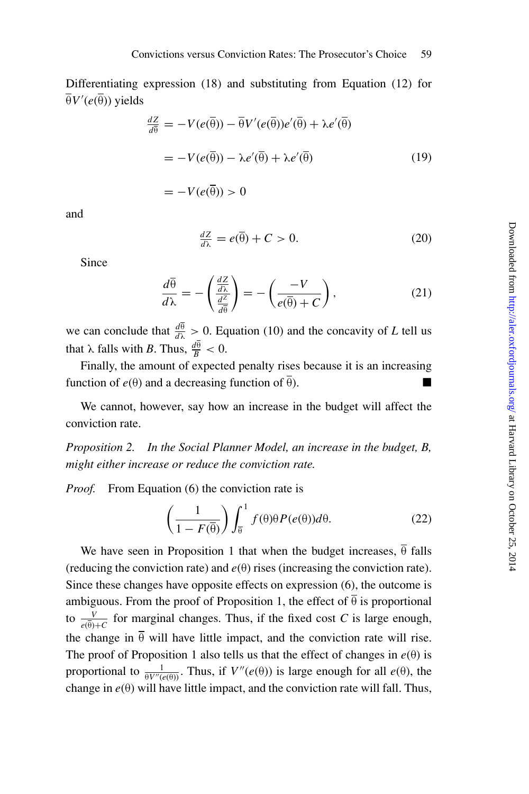Differentiating expression (18) and substituting from Equation (12) for θ*V* (*e*(θ)) yields

$$
\frac{dZ}{d\bar{\theta}} = -V(e(\bar{\theta})) - \bar{\theta}V'(e(\bar{\theta}))e'(\bar{\theta}) + \lambda e'(\bar{\theta})
$$

$$
= -V(e(\bar{\theta})) - \lambda e'(\bar{\theta}) + \lambda e'(\bar{\theta})
$$

$$
= -V(e(\bar{\theta})) > 0
$$
(19)

and

$$
\frac{dZ}{d\lambda} = e(\overline{\theta}) + C > 0.
$$
 (20)

Since

$$
\frac{d\overline{\theta}}{d\lambda} = -\left(\frac{\frac{dZ}{d\lambda}}{\frac{d^2}{d\overline{\theta}}}\right) = -\left(\frac{-V}{e(\overline{\theta}) + C}\right),\tag{21}
$$

we can conclude that  $\frac{d\theta}{d\lambda} > 0$ . Equation (10) and the concavity of *L* tell us that  $\lambda$  falls with *B*. Thus,  $\frac{d\theta}{B} < 0$ .

Finally, the amount of expected penalty rises because it is an increasing function of  $e(\theta)$  and a decreasing function of  $\theta$ ).

We cannot, however, say how an increase in the budget will affect the conviction rate.

*Proposition 2. In the Social Planner Model, an increase in the budget, B, might either increase or reduce the conviction rate.*

*Proof.* From Equation (6) the conviction rate is

$$
\left(\frac{1}{1-F(\bar{\theta})}\right)\int_{\bar{\theta}}^{1}f(\theta)\theta P(e(\theta))d\theta.
$$
 (22)

We have seen in Proposition 1 that when the budget increases,  $\overline{\theta}$  falls (reducing the conviction rate) and  $e(\theta)$  rises (increasing the conviction rate). Since these changes have opposite effects on expression (6), the outcome is ambiguous. From the proof of Proposition 1, the effect of  $\overline{\theta}$  is proportional to  $\frac{V}{e(\bar{\theta})+C}$  for marginal changes. Thus, if the fixed cost *C* is large enough, the change in  $\overline{\theta}$  will have little impact, and the conviction rate will rise. The proof of Proposition 1 also tells us that the effect of changes in  $e(\theta)$  is proportional to  $\frac{1}{\theta V''(e(\theta))}$ . Thus, if  $V''(e(\theta))$  is large enough for all  $e(\theta)$ , the change in  $e(\theta)$  will have little impact, and the conviction rate will fall. Thus,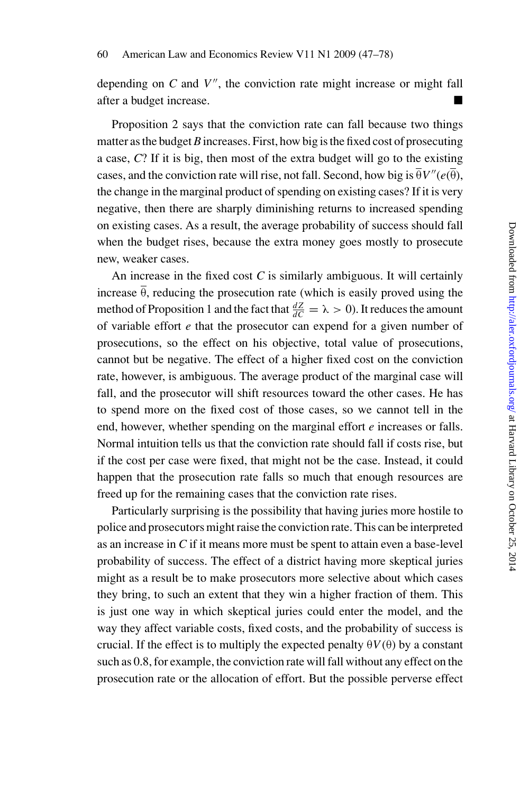depending on  $C$  and  $V''$ , the conviction rate might increase or might fall after a budget increase.

Proposition 2 says that the conviction rate can fall because two things matter as the budget*B*increases. First, how big is the fixed cost of prosecuting a case, *C*? If it is big, then most of the extra budget will go to the existing cases, and the conviction rate will rise, not fall. Second, how big is  $\theta V''(e(\theta))$ , the change in the marginal product of spending on existing cases? If it is very negative, then there are sharply diminishing returns to increased spending on existing cases. As a result, the average probability of success should fall when the budget rises, because the extra money goes mostly to prosecute new, weaker cases.

An increase in the fixed cost *C* is similarly ambiguous. It will certainly increase θ, reducing the prosecution rate (which is easily proved using the method of Proposition 1 and the fact that  $\frac{dZ}{dC} = \lambda > 0$ ). It reduces the amount of variable effort *e* that the prosecutor can expend for a given number of prosecutions, so the effect on his objective, total value of prosecutions, cannot but be negative. The effect of a higher fixed cost on the conviction rate, however, is ambiguous. The average product of the marginal case will fall, and the prosecutor will shift resources toward the other cases. He has to spend more on the fixed cost of those cases, so we cannot tell in the end, however, whether spending on the marginal effort *e* increases or falls. Normal intuition tells us that the conviction rate should fall if costs rise, but if the cost per case were fixed, that might not be the case. Instead, it could happen that the prosecution rate falls so much that enough resources are freed up for the remaining cases that the conviction rate rises.

Particularly surprising is the possibility that having juries more hostile to police and prosecutors might raise the conviction rate. This can be interpreted as an increase in *C* if it means more must be spent to attain even a base-level probability of success. The effect of a district having more skeptical juries might as a result be to make prosecutors more selective about which cases they bring, to such an extent that they win a higher fraction of them. This is just one way in which skeptical juries could enter the model, and the way they affect variable costs, fixed costs, and the probability of success is crucial. If the effect is to multiply the expected penalty  $\theta V(\theta)$  by a constant such as 0.8, for example, the conviction rate will fall without any effect on the prosecution rate or the allocation of effort. But the possible perverse effect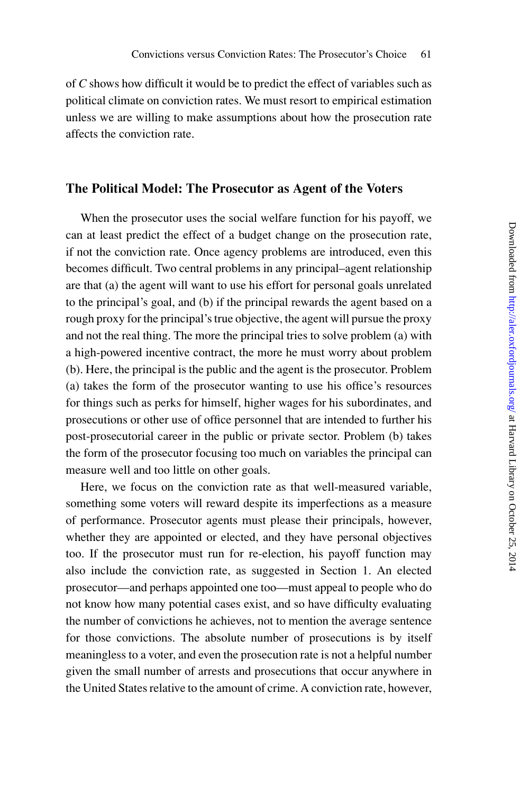of *C* shows how difficult it would be to predict the effect of variables such as political climate on conviction rates. We must resort to empirical estimation unless we are willing to make assumptions about how the prosecution rate affects the conviction rate.

## **The Political Model: The Prosecutor as Agent of the Voters**

When the prosecutor uses the social welfare function for his payoff, we can at least predict the effect of a budget change on the prosecution rate, if not the conviction rate. Once agency problems are introduced, even this becomes difficult. Two central problems in any principal–agent relationship are that (a) the agent will want to use his effort for personal goals unrelated to the principal's goal, and (b) if the principal rewards the agent based on a rough proxy for the principal's true objective, the agent will pursue the proxy and not the real thing. The more the principal tries to solve problem (a) with a high-powered incentive contract, the more he must worry about problem (b). Here, the principal is the public and the agent is the prosecutor. Problem (a) takes the form of the prosecutor wanting to use his office's resources for things such as perks for himself, higher wages for his subordinates, and prosecutions or other use of office personnel that are intended to further his post-prosecutorial career in the public or private sector. Problem (b) takes the form of the prosecutor focusing too much on variables the principal can measure well and too little on other goals.

Here, we focus on the conviction rate as that well-measured variable, something some voters will reward despite its imperfections as a measure of performance. Prosecutor agents must please their principals, however, whether they are appointed or elected, and they have personal objectives too. If the prosecutor must run for re-election, his payoff function may also include the conviction rate, as suggested in Section 1. An elected prosecutor—and perhaps appointed one too—must appeal to people who do not know how many potential cases exist, and so have difficulty evaluating the number of convictions he achieves, not to mention the average sentence for those convictions. The absolute number of prosecutions is by itself meaningless to a voter, and even the prosecution rate is not a helpful number given the small number of arrests and prosecutions that occur anywhere in the United States relative to the amount of crime. A conviction rate, however,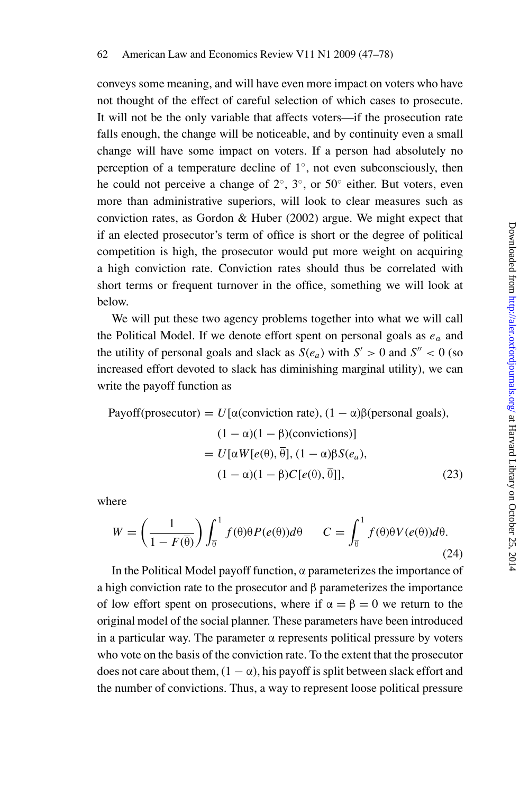conveys some meaning, and will have even more impact on voters who have not thought of the effect of careful selection of which cases to prosecute. It will not be the only variable that affects voters—if the prosecution rate falls enough, the change will be noticeable, and by continuity even a small change will have some impact on voters. If a person had absolutely no perception of a temperature decline of 1◦, not even subconsciously, then he could not perceive a change of  $2^\circ$ ,  $3^\circ$ , or  $50^\circ$  either. But voters, even more than administrative superiors, will look to clear measures such as conviction rates, as Gordon & Huber (2002) argue. We might expect that if an elected prosecutor's term of office is short or the degree of political competition is high, the prosecutor would put more weight on acquiring a high conviction rate. Conviction rates should thus be correlated with short terms or frequent turnover in the office, something we will look at below.

We will put these two agency problems together into what we will call the Political Model. If we denote effort spent on personal goals as  $e_a$  and the utility of personal goals and slack as  $S(e_a)$  with  $S' > 0$  and  $S'' < 0$  (so increased effort devoted to slack has diminishing marginal utility), we can write the payoff function as

Payoff(prosecutor) = 
$$
U[\alpha(\text{conviction rate}), (1 - \alpha)\beta(\text{personal goals}),
$$
  
\n
$$
(1 - \alpha)(1 - \beta)(\text{convictions})]
$$
\n
$$
= U[\alpha W[e(\theta), \overline{\theta}], (1 - \alpha)\beta S(e_a),
$$
\n
$$
(1 - \alpha)(1 - \beta)C[e(\theta), \overline{\theta}]],
$$
\n(23)

where

$$
W = \left(\frac{1}{1 - F(\overline{\theta})}\right) \int_{\overline{\theta}}^{1} f(\theta) \theta P(e(\theta)) d\theta \qquad C = \int_{\overline{\theta}}^{1} f(\theta) \theta V(e(\theta)) d\theta. \tag{24}
$$

In the Political Model payoff function,  $\alpha$  parameterizes the importance of a high conviction rate to the prosecutor and β parameterizes the importance of low effort spent on prosecutions, where if  $\alpha = \beta = 0$  we return to the original model of the social planner. These parameters have been introduced in a particular way. The parameter  $\alpha$  represents political pressure by voters who vote on the basis of the conviction rate. To the extent that the prosecutor does not care about them,  $(1 - \alpha)$ , his payoff is split between slack effort and the number of convictions. Thus, a way to represent loose political pressure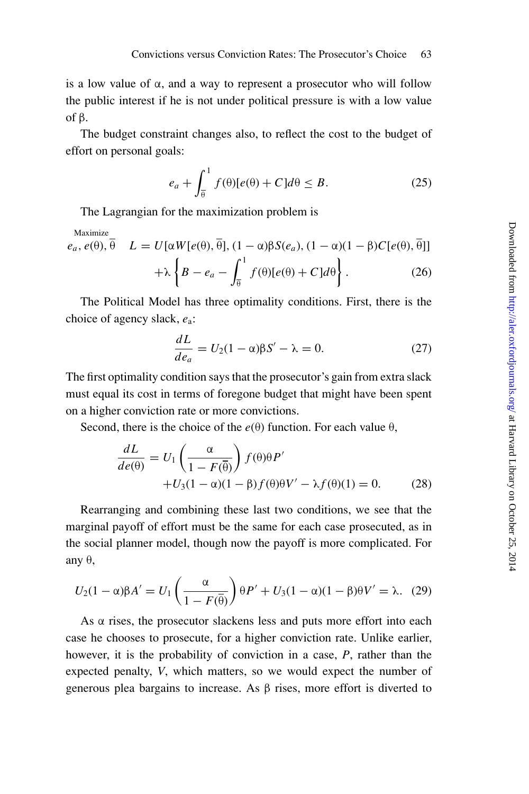is a low value of  $\alpha$ , and a way to represent a prosecutor who will follow the public interest if he is not under political pressure is with a low value of β.

The budget constraint changes also, to reflect the cost to the budget of effort on personal goals:

$$
e_a + \int_{\overline{\theta}}^1 f(\theta)[e(\theta) + C]d\theta \le B.
$$
 (25)

The Lagrangian for the maximization problem is

Maximize  $e_a$ ,  $e(\theta)$ ,  $\theta$  *L* = *U*[ $\alpha$ *W*[ $e(\theta)$ ,  $\theta$ ], (1 −  $\alpha$ ) $\beta$ *S*( $e_a$ ), (1 −  $\alpha$ )(1 −  $\beta$ )*C*[ $e(\theta)$ ,  $\theta$ ]]  $\sqrt{ }$  $\int_0^1$ 

$$
+\lambda \left\{ B - e_a - \int_{\overline{\theta}}^1 f(\theta)[e(\theta) + C]d\theta \right\}.
$$
 (26)

The Political Model has three optimality conditions. First, there is the choice of agency slack, *e*a:

$$
\frac{dL}{de_a} = U_2(1 - \alpha)\beta S' - \lambda = 0.
$$
 (27)

The first optimality condition says that the prosecutor's gain from extra slack must equal its cost in terms of foregone budget that might have been spent on a higher conviction rate or more convictions.

Second, there is the choice of the  $e(\theta)$  function. For each value  $\theta$ ,

$$
\frac{dL}{de(\theta)} = U_1 \left( \frac{\alpha}{1 - F(\overline{\theta})} \right) f(\theta) \theta P'
$$
  
+ U\_3 (1 - \alpha)(1 - \beta) f(\theta) \theta V' - \lambda f(\theta)(1) = 0. (28)

Rearranging and combining these last two conditions, we see that the marginal payoff of effort must be the same for each case prosecuted, as in the social planner model, though now the payoff is more complicated. For any θ,

$$
U_2(1-\alpha)\beta A' = U_1\left(\frac{\alpha}{1-F(\overline{\theta})}\right)\theta P' + U_3(1-\alpha)(1-\beta)\theta V' = \lambda. \quad (29)
$$

As α rises, the prosecutor slackens less and puts more effort into each case he chooses to prosecute, for a higher conviction rate. Unlike earlier, however, it is the probability of conviction in a case, *P*, rather than the expected penalty, *V*, which matters, so we would expect the number of generous plea bargains to increase. As β rises, more effort is diverted to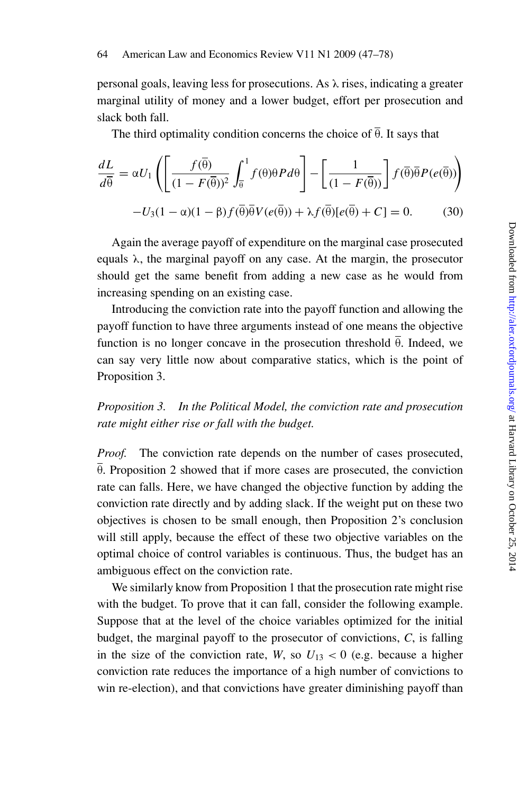personal goals, leaving less for prosecutions. As λ rises, indicating a greater marginal utility of money and a lower budget, effort per prosecution and slack both fall.

The third optimality condition concerns the choice of  $\overline{\theta}$ . It says that

$$
\frac{dL}{d\bar{\theta}} = \alpha U_1 \left( \left[ \frac{f(\bar{\theta})}{(1 - F(\bar{\theta}))^2} \int_{\bar{\theta}}^1 f(\theta) \theta P d\theta \right] - \left[ \frac{1}{(1 - F(\bar{\theta}))} \right] f(\bar{\theta}) \bar{\theta} P(e(\bar{\theta})) \right) \n- U_3 (1 - \alpha)(1 - \beta) f(\bar{\theta}) \bar{\theta} V(e(\bar{\theta})) + \lambda f(\bar{\theta}) [e(\bar{\theta}) + C] = 0.
$$
\n(30)

Again the average payoff of expenditure on the marginal case prosecuted equals λ, the marginal payoff on any case. At the margin, the prosecutor should get the same benefit from adding a new case as he would from increasing spending on an existing case.

Introducing the conviction rate into the payoff function and allowing the payoff function to have three arguments instead of one means the objective function is no longer concave in the prosecution threshold  $\overline{\theta}$ . Indeed, we can say very little now about comparative statics, which is the point of Proposition 3.

*Proposition 3. In the Political Model, the conviction rate and prosecution rate might either rise or fall with the budget.*

*Proof.* The conviction rate depends on the number of cases prosecuted, θ. Proposition 2 showed that if more cases are prosecuted, the conviction rate can falls. Here, we have changed the objective function by adding the conviction rate directly and by adding slack. If the weight put on these two objectives is chosen to be small enough, then Proposition 2's conclusion will still apply, because the effect of these two objective variables on the optimal choice of control variables is continuous. Thus, the budget has an ambiguous effect on the conviction rate.

We similarly know from Proposition 1 that the prosecution rate might rise with the budget. To prove that it can fall, consider the following example. Suppose that at the level of the choice variables optimized for the initial budget, the marginal payoff to the prosecutor of convictions, *C*, is falling in the size of the conviction rate, *W*, so  $U_{13} < 0$  (e.g. because a higher conviction rate reduces the importance of a high number of convictions to win re-election), and that convictions have greater diminishing payoff than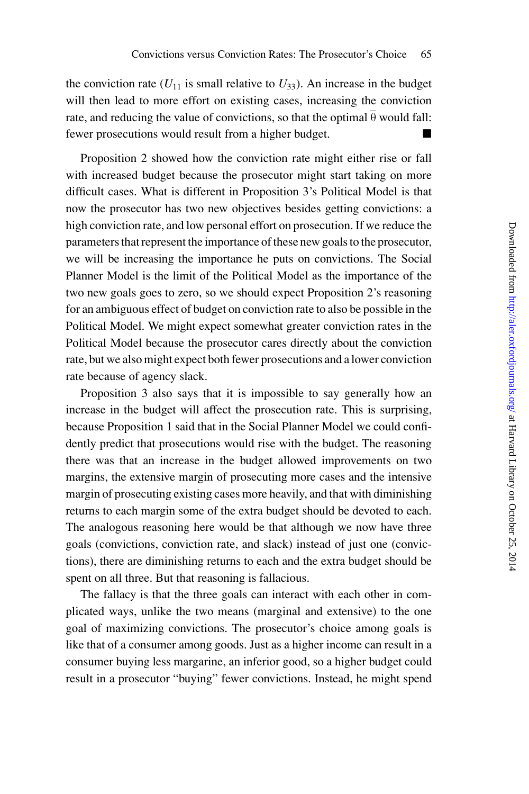the conviction rate  $(U_{11}$  is small relative to  $U_{33}$ ). An increase in the budget will then lead to more effort on existing cases, increasing the conviction rate, and reducing the value of convictions, so that the optimal  $\overline{\theta}$  would fall: fewer prosecutions would result from a higher budget.

Proposition 2 showed how the conviction rate might either rise or fall with increased budget because the prosecutor might start taking on more difficult cases. What is different in Proposition 3's Political Model is that now the prosecutor has two new objectives besides getting convictions: a high conviction rate, and low personal effort on prosecution. If we reduce the parameters that represent the importance of these new goals to the prosecutor, we will be increasing the importance he puts on convictions. The Social Planner Model is the limit of the Political Model as the importance of the two new goals goes to zero, so we should expect Proposition 2's reasoning for an ambiguous effect of budget on conviction rate to also be possible in the Political Model. We might expect somewhat greater conviction rates in the Political Model because the prosecutor cares directly about the conviction rate, but we also might expect both fewer prosecutions and a lower conviction rate because of agency slack.

Proposition 3 also says that it is impossible to say generally how an increase in the budget will affect the prosecution rate. This is surprising, because Proposition 1 said that in the Social Planner Model we could confidently predict that prosecutions would rise with the budget. The reasoning there was that an increase in the budget allowed improvements on two margins, the extensive margin of prosecuting more cases and the intensive margin of prosecuting existing cases more heavily, and that with diminishing returns to each margin some of the extra budget should be devoted to each. The analogous reasoning here would be that although we now have three goals (convictions, conviction rate, and slack) instead of just one (convictions), there are diminishing returns to each and the extra budget should be spent on all three. But that reasoning is fallacious.

The fallacy is that the three goals can interact with each other in complicated ways, unlike the two means (marginal and extensive) to the one goal of maximizing convictions. The prosecutor's choice among goals is like that of a consumer among goods. Just as a higher income can result in a consumer buying less margarine, an inferior good, so a higher budget could result in a prosecutor "buying" fewer convictions. Instead, he might spend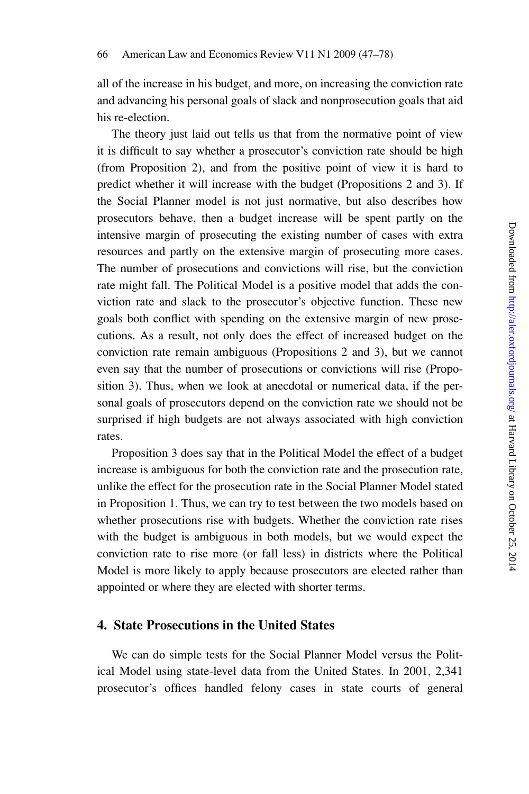all of the increase in his budget, and more, on increasing the conviction rate and advancing his personal goals of slack and nonprosecution goals that aid his re-election.

The theory just laid out tells us that from the normative point of view it is difficult to say whether a prosecutor's conviction rate should be high (from Proposition 2), and from the positive point of view it is hard to predict whether it will increase with the budget (Propositions 2 and 3). If the Social Planner model is not just normative, but also describes how prosecutors behave, then a budget increase will be spent partly on the intensive margin of prosecuting the existing number of cases with extra resources and partly on the extensive margin of prosecuting more cases. The number of prosecutions and convictions will rise, but the conviction rate might fall. The Political Model is a positive model that adds the conviction rate and slack to the prosecutor's objective function. These new goals both conflict with spending on the extensive margin of new prosecutions. As a result, not only does the effect of increased budget on the conviction rate remain ambiguous (Propositions 2 and 3), but we cannot even say that the number of prosecutions or convictions will rise (Proposition 3). Thus, when we look at anecdotal or numerical data, if the personal goals of prosecutors depend on the conviction rate we should not be surprised if high budgets are not always associated with high conviction rates.

Proposition 3 does say that in the Political Model the effect of a budget increase is ambiguous for both the conviction rate and the prosecution rate, unlike the effect for the prosecution rate in the Social Planner Model stated in Proposition 1. Thus, we can try to test between the two models based on whether prosecutions rise with budgets. Whether the conviction rate rises with the budget is ambiguous in both models, but we would expect the conviction rate to rise more (or fall less) in districts where the Political Model is more likely to apply because prosecutors are elected rather than appointed or where they are elected with shorter terms.

## **4. State Prosecutions in the United States**

We can do simple tests for the Social Planner Model versus the Political Model using state-level data from the United States. In 2001, 2,341 prosecutor's offices handled felony cases in state courts of general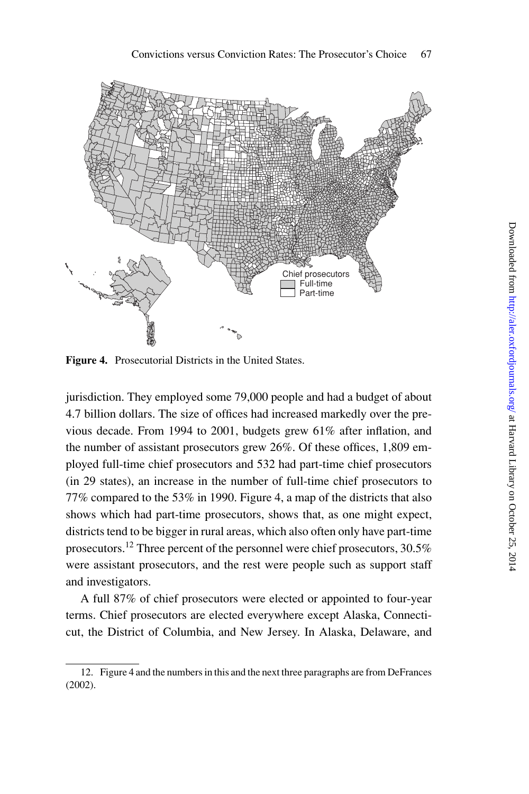

**Figure 4.** Prosecutorial Districts in the United States.

jurisdiction. They employed some 79,000 people and had a budget of about 4.7 billion dollars. The size of offices had increased markedly over the previous decade. From 1994 to 2001, budgets grew 61% after inflation, and the number of assistant prosecutors grew 26%. Of these offices, 1,809 employed full-time chief prosecutors and 532 had part-time chief prosecutors (in 29 states), an increase in the number of full-time chief prosecutors to 77% compared to the 53% in 1990. Figure 4, a map of the districts that also shows which had part-time prosecutors, shows that, as one might expect, districts tend to be bigger in rural areas, which also often only have part-time prosecutors.12 Three percent of the personnel were chief prosecutors, 30.5% were assistant prosecutors, and the rest were people such as support staff and investigators.

A full 87% of chief prosecutors were elected or appointed to four-year terms. Chief prosecutors are elected everywhere except Alaska, Connecticut, the District of Columbia, and New Jersey. In Alaska, Delaware, and

<sup>12.</sup> Figure 4 and the numbers in this and the next three paragraphs are from DeFrances (2002).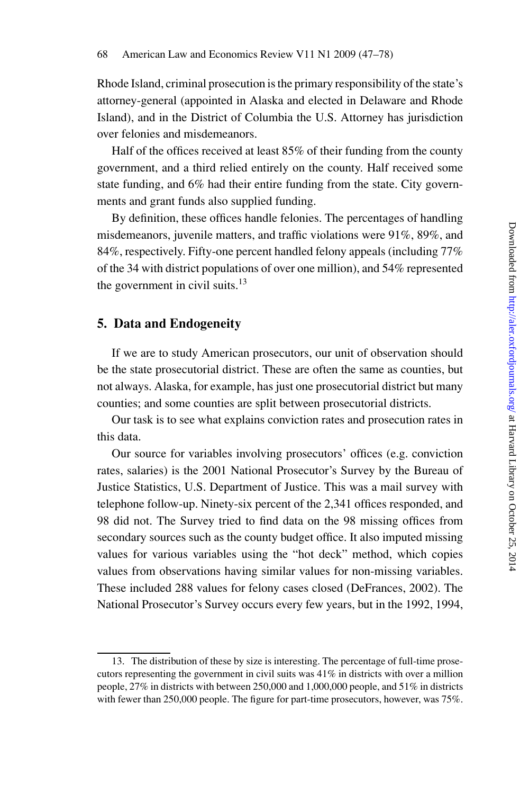Rhode Island, criminal prosecution is the primary responsibility of the state's attorney-general (appointed in Alaska and elected in Delaware and Rhode Island), and in the District of Columbia the U.S. Attorney has jurisdiction over felonies and misdemeanors.

Half of the offices received at least 85% of their funding from the county government, and a third relied entirely on the county. Half received some state funding, and 6% had their entire funding from the state. City governments and grant funds also supplied funding.

By definition, these offices handle felonies. The percentages of handling misdemeanors, juvenile matters, and traffic violations were 91%, 89%, and 84%, respectively. Fifty-one percent handled felony appeals (including 77% of the 34 with district populations of over one million), and 54% represented the government in civil suits. $^{13}$ 

# **5. Data and Endogeneity**

If we are to study American prosecutors, our unit of observation should be the state prosecutorial district. These are often the same as counties, but not always. Alaska, for example, has just one prosecutorial district but many counties; and some counties are split between prosecutorial districts.

Our task is to see what explains conviction rates and prosecution rates in this data.

Our source for variables involving prosecutors' offices (e.g. conviction rates, salaries) is the 2001 National Prosecutor's Survey by the Bureau of Justice Statistics, U.S. Department of Justice. This was a mail survey with telephone follow-up. Ninety-six percent of the 2,341 offices responded, and 98 did not. The Survey tried to find data on the 98 missing offices from secondary sources such as the county budget office. It also imputed missing values for various variables using the "hot deck" method, which copies values from observations having similar values for non-missing variables. These included 288 values for felony cases closed (DeFrances, 2002). The National Prosecutor's Survey occurs every few years, but in the 1992, 1994,

<sup>13.</sup> The distribution of these by size is interesting. The percentage of full-time prosecutors representing the government in civil suits was 41% in districts with over a million people, 27% in districts with between 250,000 and 1,000,000 people, and 51% in districts with fewer than 250,000 people. The figure for part-time prosecutors, however, was 75%.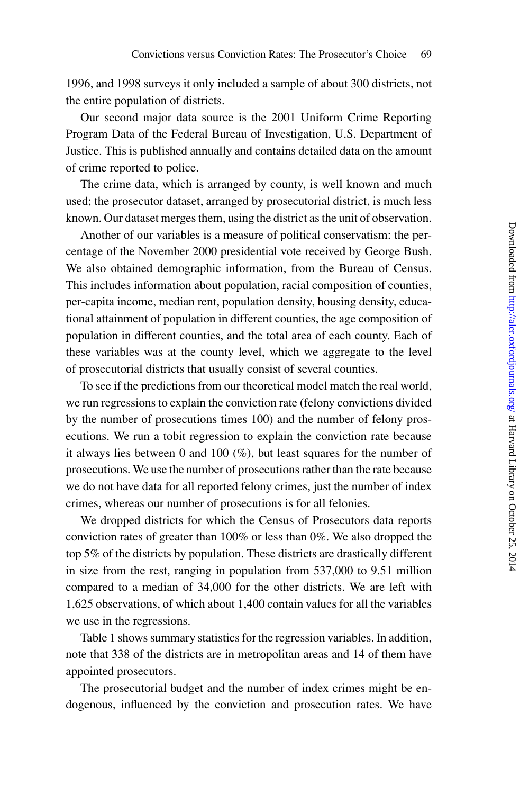1996, and 1998 surveys it only included a sample of about 300 districts, not the entire population of districts.

Our second major data source is the 2001 Uniform Crime Reporting Program Data of the Federal Bureau of Investigation, U.S. Department of Justice. This is published annually and contains detailed data on the amount of crime reported to police.

The crime data, which is arranged by county, is well known and much used; the prosecutor dataset, arranged by prosecutorial district, is much less known. Our dataset merges them, using the district as the unit of observation.

Another of our variables is a measure of political conservatism: the percentage of the November 2000 presidential vote received by George Bush. We also obtained demographic information, from the Bureau of Census. This includes information about population, racial composition of counties, per-capita income, median rent, population density, housing density, educational attainment of population in different counties, the age composition of population in different counties, and the total area of each county. Each of these variables was at the county level, which we aggregate to the level of prosecutorial districts that usually consist of several counties.

To see if the predictions from our theoretical model match the real world, we run regressions to explain the conviction rate (felony convictions divided by the number of prosecutions times 100) and the number of felony prosecutions. We run a tobit regression to explain the conviction rate because it always lies between 0 and 100  $(\%)$ , but least squares for the number of prosecutions. We use the number of prosecutions rather than the rate because we do not have data for all reported felony crimes, just the number of index crimes, whereas our number of prosecutions is for all felonies.

We dropped districts for which the Census of Prosecutors data reports conviction rates of greater than 100% or less than 0%. We also dropped the top 5% of the districts by population. These districts are drastically different in size from the rest, ranging in population from 537,000 to 9.51 million compared to a median of 34,000 for the other districts. We are left with 1,625 observations, of which about 1,400 contain values for all the variables we use in the regressions.

Table 1 shows summary statistics for the regression variables. In addition, note that 338 of the districts are in metropolitan areas and 14 of them have appointed prosecutors.

The prosecutorial budget and the number of index crimes might be endogenous, influenced by the conviction and prosecution rates. We have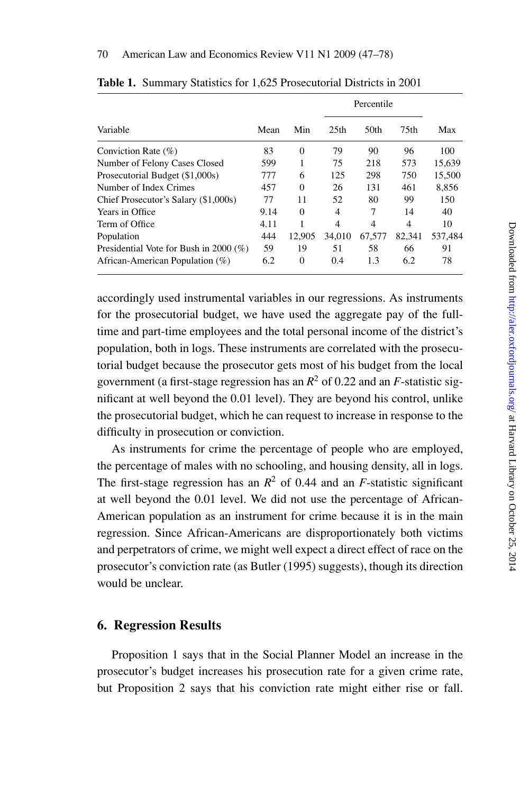|                                            |      |          | Percentile       |                  |        |         |
|--------------------------------------------|------|----------|------------------|------------------|--------|---------|
| Variable                                   | Mean | Min      | 25 <sub>th</sub> | 50 <sub>th</sub> | 75th   | Max     |
| Conviction Rate $(\% )$                    | 83   | $\Omega$ | 79               | 90               | 96     | 100     |
| Number of Felony Cases Closed              | 599  | 1        | 75               | 218              | 573    | 15,639  |
| Prosecutorial Budget (\$1,000s)            | 777  | 6        | 125              | 298              | 750    | 15.500  |
| Number of Index Crimes                     | 457  | $\Omega$ | 26               | 131              | 461    | 8,856   |
| Chief Prosecutor's Salary (\$1,000s)       | 77   | 11       | 52               | 80               | 99     | 150     |
| Years in Office                            | 9.14 | $\Omega$ | 4                | 7                | 14     | 40      |
| Term of Office                             | 4.11 |          | 4                | $\overline{4}$   | 4      | 10      |
| Population                                 | 444  | 12.905   | 34.010           | 67,577           | 82.341 | 537,484 |
| Presidential Vote for Bush in $2000\ (\%)$ | 59   | 19       | 51               | 58               | 66     | 91      |
| African-American Population $(\%)$         | 6.2  | $\Omega$ | 0.4              | 1.3              | 6.2    | 78      |

**Table 1.** Summary Statistics for 1,625 Prosecutorial Districts in 2001

accordingly used instrumental variables in our regressions. As instruments for the prosecutorial budget, we have used the aggregate pay of the fulltime and part-time employees and the total personal income of the district's population, both in logs. These instruments are correlated with the prosecutorial budget because the prosecutor gets most of his budget from the local government (a first-stage regression has an  $R^2$  of 0.22 and an *F*-statistic significant at well beyond the 0.01 level). They are beyond his control, unlike the prosecutorial budget, which he can request to increase in response to the difficulty in prosecution or conviction.

As instruments for crime the percentage of people who are employed, the percentage of males with no schooling, and housing density, all in logs. The first-stage regression has an  $R^2$  of 0.44 and an *F*-statistic significant at well beyond the 0.01 level. We did not use the percentage of African-American population as an instrument for crime because it is in the main regression. Since African-Americans are disproportionately both victims and perpetrators of crime, we might well expect a direct effect of race on the prosecutor's conviction rate (as Butler (1995) suggests), though its direction would be unclear.

## **6. Regression Results**

Proposition 1 says that in the Social Planner Model an increase in the prosecutor's budget increases his prosecution rate for a given crime rate, but Proposition 2 says that his conviction rate might either rise or fall.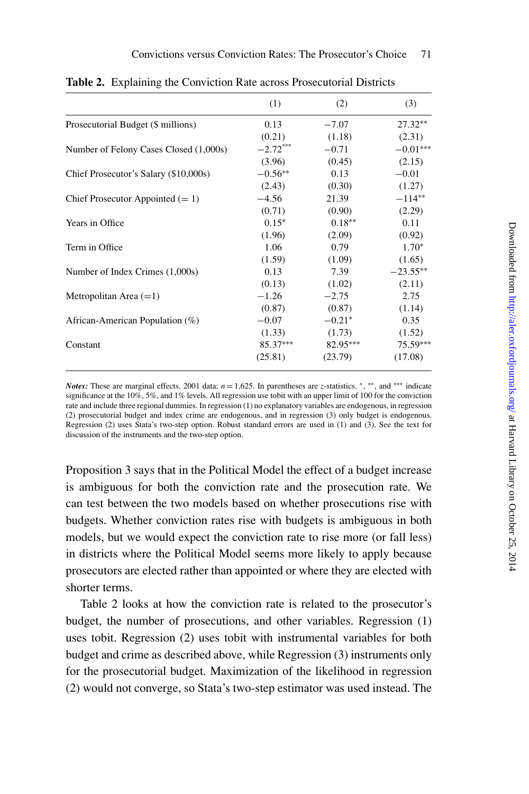|                                        | (1)        | (2)      | (3)        |
|----------------------------------------|------------|----------|------------|
| Prosecutorial Budget (\$ millions)     | 0.13       | $-7.07$  | $27.32**$  |
|                                        | (0.21)     | (1.18)   | (2.31)     |
| Number of Felony Cases Closed (1,000s) | $-2.72***$ | $-0.71$  | $-0.01***$ |
|                                        | (3.96)     | (0.45)   | (2.15)     |
| Chief Prosecutor's Salary (\$10,000s)  | $-0.56**$  | 0.13     | $-0.01$    |
|                                        | (2.43)     | (0.30)   | (1.27)     |
| Chief Prosecutor Appointed $(= 1)$     | $-4.56$    | 21.39    | $-114**$   |
|                                        | (0.71)     | (0.90)   | (2.29)     |
| Years in Office                        | $0.15*$    | $0.18**$ | 0.11       |
|                                        | (1.96)     | (2.09)   | (0.92)     |
| Term in Office                         | 1.06       | 0.79     | $1.70*$    |
|                                        | (1.59)     | (1.09)   | (1.65)     |
| Number of Index Crimes (1,000s)        | 0.13       | 7.39     | $-23.55**$ |
|                                        | (0.13)     | (1.02)   | (2.11)     |
| Metropolitan Area $(=1)$               | $-1.26$    | $-2.75$  | 2.75       |
|                                        | (0.87)     | (0.87)   | (1.14)     |
| African-American Population (%)        | $-0.07$    | $-0.21*$ | 0.35       |
|                                        | (1.33)     | (1.73)   | (1.52)     |
| Constant                               | $85.37***$ | 82.95*** | 75.59***   |
|                                        | (25.81)    | (23.79)  | (17.08)    |

**Table 2.** Explaining the Conviction Rate across Prosecutorial Districts

*Notes:* These are marginal effects. 2001 data;  $n = 1.625$ . In parentheses are *z*-statistics. <sup>\*</sup>, \*\*, and <sup>∗∗∗</sup> indicate significance at the 10%, 5%, and 1% levels. All regression use tobit with an upper limit of 100 for the conviction rate and include three regional dummies. In regression (1) no explanatory variables are endogenous, in regression (2) prosecutorial budget and index crime are endogenous, and in regression (3) only budget is endogenous. Regression (2) uses Stata's two-step option. Robust standard errors are used in (1) and (3). See the text for discussion of the instruments and the two-step option.

Proposition 3 says that in the Political Model the effect of a budget increase is ambiguous for both the conviction rate and the prosecution rate. We can test between the two models based on whether prosecutions rise with budgets. Whether conviction rates rise with budgets is ambiguous in both models, but we would expect the conviction rate to rise more (or fall less) in districts where the Political Model seems more likely to apply because prosecutors are elected rather than appointed or where they are elected with shorter terms.

Table 2 looks at how the conviction rate is related to the prosecutor's budget, the number of prosecutions, and other variables. Regression (1) uses tobit. Regression (2) uses tobit with instrumental variables for both budget and crime as described above, while Regression (3) instruments only for the prosecutorial budget. Maximization of the likelihood in regression (2) would not converge, so Stata's two-step estimator was used instead. The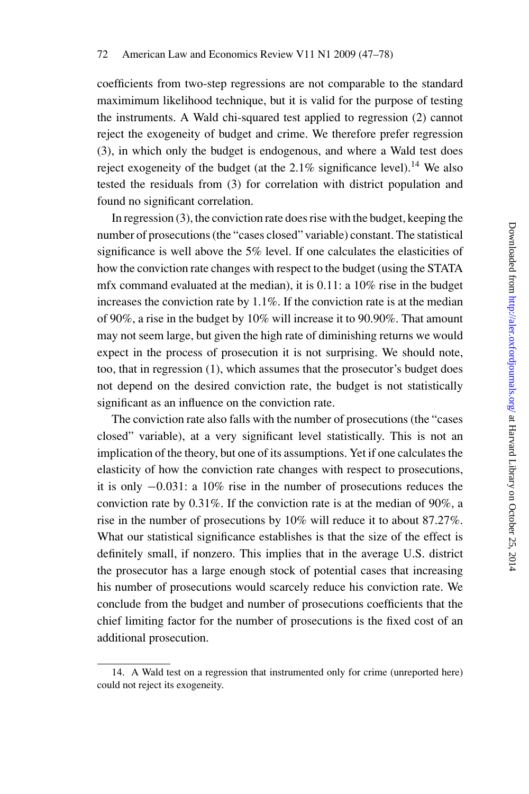coefficients from two-step regressions are not comparable to the standard maximimum likelihood technique, but it is valid for the purpose of testing the instruments. A Wald chi-squared test applied to regression (2) cannot reject the exogeneity of budget and crime. We therefore prefer regression (3), in which only the budget is endogenous, and where a Wald test does reject exogeneity of the budget (at the  $2.1\%$  significance level).<sup>14</sup> We also tested the residuals from (3) for correlation with district population and found no significant correlation.

In regression (3), the conviction rate does rise with the budget, keeping the number of prosecutions (the "cases closed" variable) constant. The statistical significance is well above the 5% level. If one calculates the elasticities of how the conviction rate changes with respect to the budget (using the STATA mfx command evaluated at the median), it is 0.11: a 10% rise in the budget increases the conviction rate by 1.1%. If the conviction rate is at the median of 90%, a rise in the budget by 10% will increase it to 90.90%. That amount may not seem large, but given the high rate of diminishing returns we would expect in the process of prosecution it is not surprising. We should note, too, that in regression (1), which assumes that the prosecutor's budget does not depend on the desired conviction rate, the budget is not statistically significant as an influence on the conviction rate.

The conviction rate also falls with the number of prosecutions (the "cases closed" variable), at a very significant level statistically. This is not an implication of the theory, but one of its assumptions. Yet if one calculates the elasticity of how the conviction rate changes with respect to prosecutions, it is only −0.031: a 10% rise in the number of prosecutions reduces the conviction rate by 0.31%. If the conviction rate is at the median of 90%, a rise in the number of prosecutions by 10% will reduce it to about 87.27%. What our statistical significance establishes is that the size of the effect is definitely small, if nonzero. This implies that in the average U.S. district the prosecutor has a large enough stock of potential cases that increasing his number of prosecutions would scarcely reduce his conviction rate. We conclude from the budget and number of prosecutions coefficients that the chief limiting factor for the number of prosecutions is the fixed cost of an additional prosecution.

<sup>14.</sup> A Wald test on a regression that instrumented only for crime (unreported here) could not reject its exogeneity.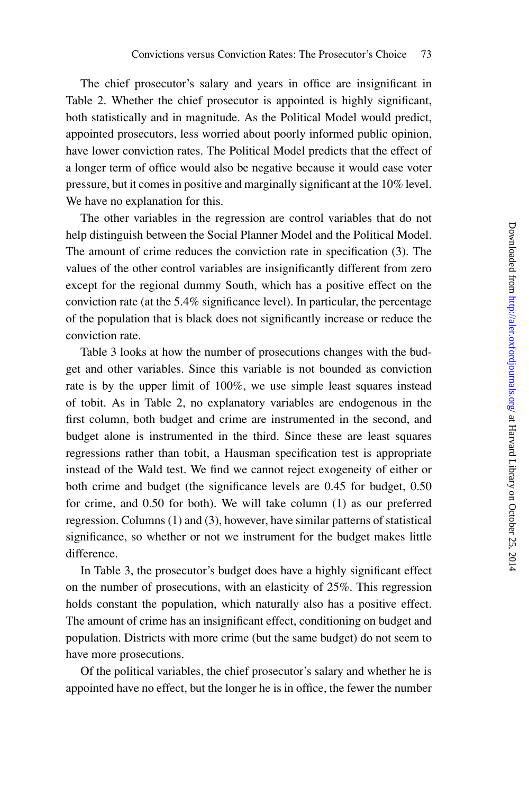The chief prosecutor's salary and years in office are insignificant in Table 2. Whether the chief prosecutor is appointed is highly significant, both statistically and in magnitude. As the Political Model would predict, appointed prosecutors, less worried about poorly informed public opinion, have lower conviction rates. The Political Model predicts that the effect of a longer term of office would also be negative because it would ease voter pressure, but it comes in positive and marginally significant at the 10% level. We have no explanation for this.

The other variables in the regression are control variables that do not help distinguish between the Social Planner Model and the Political Model. The amount of crime reduces the conviction rate in specification (3). The values of the other control variables are insignificantly different from zero except for the regional dummy South, which has a positive effect on the conviction rate (at the 5.4% significance level). In particular, the percentage of the population that is black does not significantly increase or reduce the conviction rate.

Table 3 looks at how the number of prosecutions changes with the budget and other variables. Since this variable is not bounded as conviction rate is by the upper limit of 100%, we use simple least squares instead of tobit. As in Table 2, no explanatory variables are endogenous in the first column, both budget and crime are instrumented in the second, and budget alone is instrumented in the third. Since these are least squares regressions rather than tobit, a Hausman specification test is appropriate instead of the Wald test. We find we cannot reject exogeneity of either or both crime and budget (the significance levels are 0.45 for budget, 0.50 for crime, and 0.50 for both). We will take column (1) as our preferred regression. Columns (1) and (3), however, have similar patterns of statistical significance, so whether or not we instrument for the budget makes little difference.

In Table 3, the prosecutor's budget does have a highly significant effect on the number of prosecutions, with an elasticity of 25%. This regression holds constant the population, which naturally also has a positive effect. The amount of crime has an insignificant effect, conditioning on budget and population. Districts with more crime (but the same budget) do not seem to have more prosecutions.

Of the political variables, the chief prosecutor's salary and whether he is appointed have no effect, but the longer he is in office, the fewer the number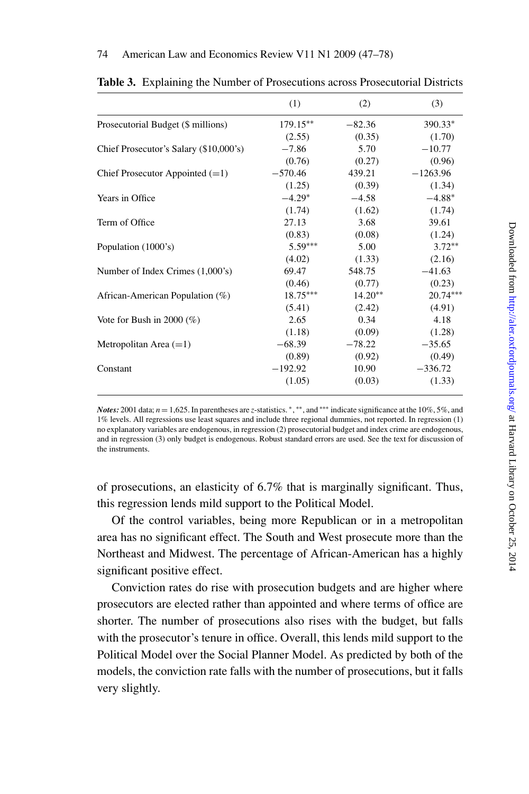|                                        | (1)        | (2)       | (3)        |
|----------------------------------------|------------|-----------|------------|
| Prosecutorial Budget (\$ millions)     | $179.15**$ | $-82.36$  | 390.33*    |
|                                        | (2.55)     | (0.35)    | (1.70)     |
| Chief Prosecutor's Salary (\$10,000's) | $-7.86$    | 5.70      | $-10.77$   |
|                                        | (0.76)     | (0.27)    | (0.96)     |
| Chief Prosecutor Appointed $(=1)$      | $-570.46$  | 439.21    | $-1263.96$ |
|                                        | (1.25)     | (0.39)    | (1.34)     |
| Years in Office                        | $-4.29*$   | $-4.58$   | $-4.88*$   |
|                                        | (1.74)     | (1.62)    | (1.74)     |
| Term of Office                         | 27.13      | 3.68      | 39.61      |
|                                        | (0.83)     | (0.08)    | (1.24)     |
| Population (1000's)                    | $5.59***$  | 5.00      | $3.72**$   |
|                                        | (4.02)     | (1.33)    | (2.16)     |
| Number of Index Crimes (1,000's)       | 69.47      | 548.75    | $-41.63$   |
|                                        | (0.46)     | (0.77)    | (0.23)     |
| African-American Population (%)        | $18.75***$ | $14.20**$ | $20.74***$ |
|                                        | (5.41)     | (2.42)    | (4.91)     |
| Vote for Bush in $2000\ (\%)$          | 2.65       | 0.34      | 4.18       |
|                                        | (1.18)     | (0.09)    | (1.28)     |
| Metropolitan Area $(=1)$               | $-68.39$   | $-78.22$  | $-35.65$   |
|                                        | (0.89)     | (0.92)    | (0.49)     |
| Constant                               | $-192.92$  | 10.90     | $-336.72$  |
|                                        | (1.05)     | (0.03)    | (1.33)     |

**Table 3.** Explaining the Number of Prosecutions across Prosecutorial Districts

*Notes:* 2001 data;  $n = 1,625$ . In parentheses are *z*-statistics. \*,\*\*, and \*\*\* indicate significance at the 10%, 5%, and 1% levels. All regressions use least squares and include three regional dummies, not reported. In regression (1) no explanatory variables are endogenous, in regression (2) prosecutorial budget and index crime are endogenous, and in regression (3) only budget is endogenous. Robust standard errors are used. See the text for discussion of the instruments.

of prosecutions, an elasticity of 6.7% that is marginally significant. Thus, this regression lends mild support to the Political Model.

Of the control variables, being more Republican or in a metropolitan area has no significant effect. The South and West prosecute more than the Northeast and Midwest. The percentage of African-American has a highly significant positive effect.

Conviction rates do rise with prosecution budgets and are higher where prosecutors are elected rather than appointed and where terms of office are shorter. The number of prosecutions also rises with the budget, but falls with the prosecutor's tenure in office. Overall, this lends mild support to the Political Model over the Social Planner Model. As predicted by both of the models, the conviction rate falls with the number of prosecutions, but it falls very slightly.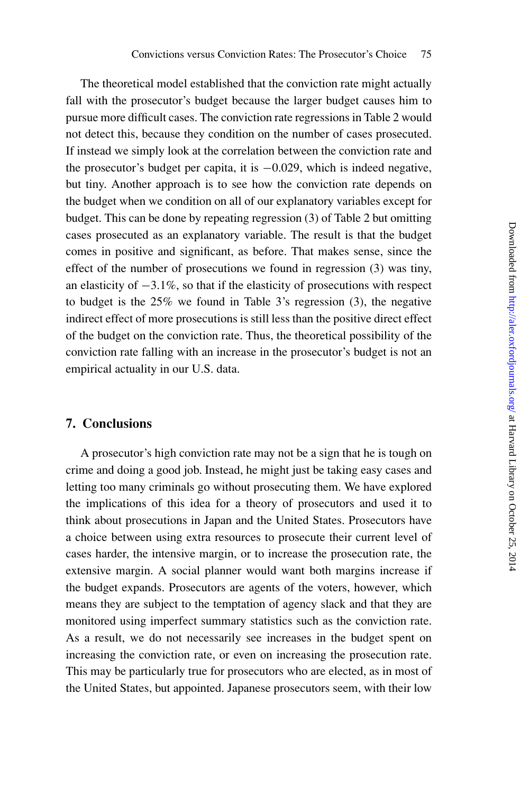The theoretical model established that the conviction rate might actually fall with the prosecutor's budget because the larger budget causes him to pursue more difficult cases. The conviction rate regressions in Table 2 would not detect this, because they condition on the number of cases prosecuted. If instead we simply look at the correlation between the conviction rate and the prosecutor's budget per capita, it is −0.029, which is indeed negative, but tiny. Another approach is to see how the conviction rate depends on the budget when we condition on all of our explanatory variables except for budget. This can be done by repeating regression (3) of Table 2 but omitting cases prosecuted as an explanatory variable. The result is that the budget comes in positive and significant, as before. That makes sense, since the effect of the number of prosecutions we found in regression (3) was tiny, an elasticity of −3.1%, so that if the elasticity of prosecutions with respect to budget is the 25% we found in Table 3's regression (3), the negative indirect effect of more prosecutions is still less than the positive direct effect of the budget on the conviction rate. Thus, the theoretical possibility of the conviction rate falling with an increase in the prosecutor's budget is not an empirical actuality in our U.S. data.

### **7. Conclusions**

A prosecutor's high conviction rate may not be a sign that he is tough on crime and doing a good job. Instead, he might just be taking easy cases and letting too many criminals go without prosecuting them. We have explored the implications of this idea for a theory of prosecutors and used it to think about prosecutions in Japan and the United States. Prosecutors have a choice between using extra resources to prosecute their current level of cases harder, the intensive margin, or to increase the prosecution rate, the extensive margin. A social planner would want both margins increase if the budget expands. Prosecutors are agents of the voters, however, which means they are subject to the temptation of agency slack and that they are monitored using imperfect summary statistics such as the conviction rate. As a result, we do not necessarily see increases in the budget spent on increasing the conviction rate, or even on increasing the prosecution rate. This may be particularly true for prosecutors who are elected, as in most of the United States, but appointed. Japanese prosecutors seem, with their low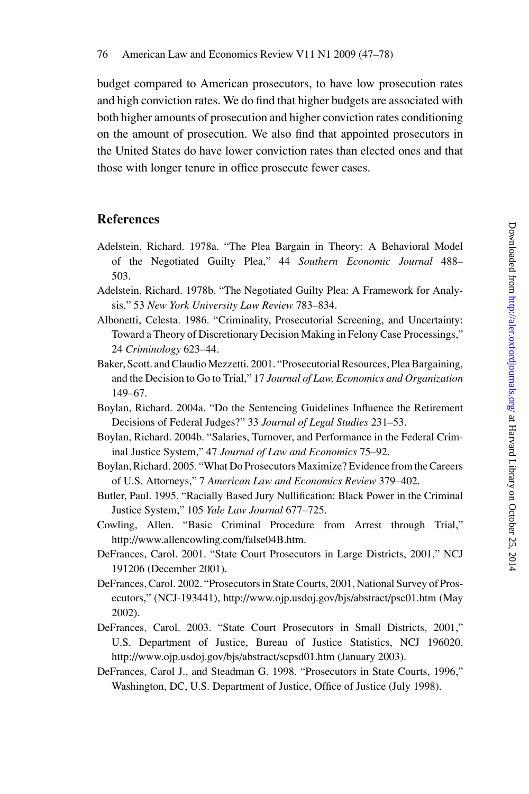budget compared to American prosecutors, to have low prosecution rates and high conviction rates. We do find that higher budgets are associated with both higher amounts of prosecution and higher conviction rates conditioning on the amount of prosecution. We also find that appointed prosecutors in the United States do have lower conviction rates than elected ones and that those with longer tenure in office prosecute fewer cases.

# **References**

- Adelstein, Richard. 1978a. "The Plea Bargain in Theory: A Behavioral Model of the Negotiated Guilty Plea," 44 *Southern Economic Journal* 488– 503.
- Adelstein, Richard. 1978b. "The Negotiated Guilty Plea: A Framework for Analysis," 53 *New York University Law Review* 783–834.
- Albonetti, Celesta. 1986. "Criminality, Prosecutorial Screening, and Uncertainty: Toward a Theory of Discretionary Decision Making in Felony Case Processings," 24 *Criminology* 623–44.
- Baker, Scott. and Claudio Mezzetti. 2001. "Prosecutorial Resources, Plea Bargaining, and the Decision to Go to Trial," 17 *Journal of Law, Economics and Organization* 149–67.
- Boylan, Richard. 2004a. "Do the Sentencing Guidelines Influence the Retirement Decisions of Federal Judges?" 33 *Journal of Legal Studies* 231–53.
- Boylan, Richard. 2004b. "Salaries, Turnover, and Performance in the Federal Criminal Justice System," 47 *Journal of Law and Economics* 75–92.
- Boylan, Richard. 2005. "What Do Prosecutors Maximize? Evidence from the Careers of U.S. Attorneys," 7 *American Law and Economics Review* 379–402.
- Butler, Paul. 1995. "Racially Based Jury Nullification: Black Power in the Criminal Justice System," 105 *Yale Law Journal* 677–725.
- Cowling, Allen. "Basic Criminal Procedure from Arrest through Trial," http://www.allencowling.com/false04B.htm.
- DeFrances, Carol. 2001. "State Court Prosecutors in Large Districts, 2001," NCJ 191206 (December 2001).
- DeFrances, Carol. 2002. "Prosecutors in State Courts, 2001, National Survey of Prosecutors," (NCJ-193441), http://www.ojp.usdoj.gov/bjs/abstract/psc01.htm (May 2002).
- DeFrances, Carol. 2003. "State Court Prosecutors in Small Districts, 2001," U.S. Department of Justice, Bureau of Justice Statistics, NCJ 196020. http://www.ojp.usdoj.gov/bjs/abstract/scpsd01.htm (January 2003).
- DeFrances, Carol J., and Steadman G. 1998. "Prosecutors in State Courts, 1996," Washington, DC, U.S. Department of Justice, Office of Justice (July 1998).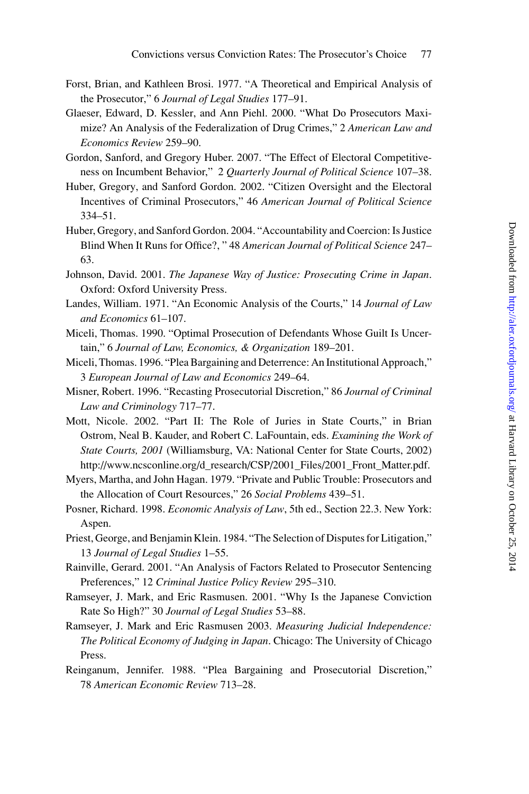- Forst, Brian, and Kathleen Brosi. 1977. "A Theoretical and Empirical Analysis of the Prosecutor," 6 *Journal of Legal Studies* 177–91.
- Glaeser, Edward, D. Kessler, and Ann Piehl. 2000. "What Do Prosecutors Maximize? An Analysis of the Federalization of Drug Crimes," 2 *American Law and Economics Review* 259–90.
- Gordon, Sanford, and Gregory Huber. 2007. "The Effect of Electoral Competitiveness on Incumbent Behavior," 2 *Quarterly Journal of Political Science* 107–38.
- Huber, Gregory, and Sanford Gordon. 2002. "Citizen Oversight and the Electoral Incentives of Criminal Prosecutors," 46 *American Journal of Political Science* 334–51.
- Huber, Gregory, and Sanford Gordon. 2004. "Accountability and Coercion: Is Justice Blind When It Runs for Office?, " 48 *American Journal of Political Science* 247– 63.
- Johnson, David. 2001. *The Japanese Way of Justice: Prosecuting Crime in Japan*. Oxford: Oxford University Press.
- Landes, William. 1971. "An Economic Analysis of the Courts," 14 *Journal of Law and Economics* 61–107.
- Miceli, Thomas. 1990. "Optimal Prosecution of Defendants Whose Guilt Is Uncertain," 6 *Journal of Law, Economics, & Organization* 189–201.
- Miceli, Thomas. 1996. "Plea Bargaining and Deterrence: An Institutional Approach," 3 *European Journal of Law and Economics* 249–64.
- Misner, Robert. 1996. "Recasting Prosecutorial Discretion," 86 *Journal of Criminal Law and Criminology* 717–77.
- Mott, Nicole. 2002. "Part II: The Role of Juries in State Courts," in Brian Ostrom, Neal B. Kauder, and Robert C. LaFountain, eds. *Examining the Work of State Courts, 2001* (Williamsburg, VA: National Center for State Courts, 2002) http://www.ncsconline.org/d\_research/CSP/2001\_Files/2001\_Front\_Matter.pdf.
- Myers, Martha, and John Hagan. 1979. "Private and Public Trouble: Prosecutors and the Allocation of Court Resources," 26 *Social Problems* 439–51.
- Posner, Richard. 1998. *Economic Analysis of Law*, 5th ed., Section 22.3. New York: Aspen.
- Priest, George, and Benjamin Klein. 1984. "The Selection of Disputes for Litigation," 13 *Journal of Legal Studies* 1–55.
- Rainville, Gerard. 2001. "An Analysis of Factors Related to Prosecutor Sentencing Preferences," 12 *Criminal Justice Policy Review* 295–310.
- Ramseyer, J. Mark, and Eric Rasmusen. 2001. "Why Is the Japanese Conviction Rate So High?" 30 *Journal of Legal Studies* 53–88.
- Ramseyer, J. Mark and Eric Rasmusen 2003. *Measuring Judicial Independence: The Political Economy of Judging in Japan*. Chicago: The University of Chicago Press.
- Reinganum, Jennifer. 1988. "Plea Bargaining and Prosecutorial Discretion," 78 *American Economic Review* 713–28.